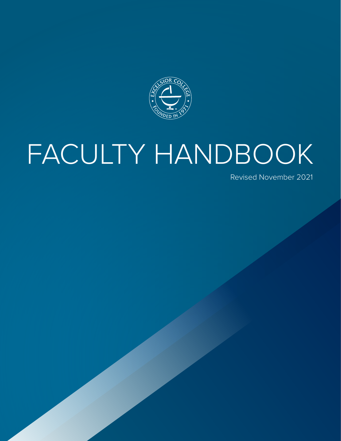

# TY HANDE POLICY<br>Policy<br>Policy FACULTY HANDBOOK

Revised November 2021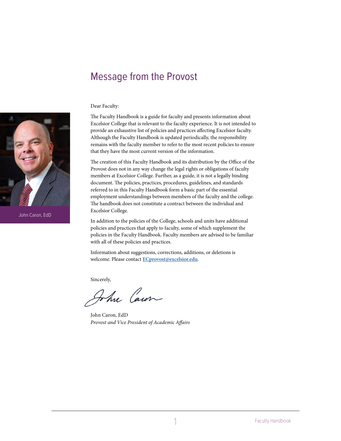# <span id="page-1-0"></span>Message from the Provost

#### Dear Faculty:

The Faculty Handbook is a guide for faculty and presents information about Excelsior College that is relevant to the faculty experience. It is not intended to provide an exhaustive list of policies and practices affecting Excelsior faculty. Although the Faculty Handbook is updated periodically, the responsibility remains with the faculty member to refer to the most recent policies to ensure that they have the most current version of the information.

The creation of this Faculty Handbook and its distribution by the Office of the Provost does not in any way change the legal rights or obligations of faculty members at Excelsior College. Further, as a guide, it is not a legally binding document. The policies, practices, procedures, guidelines, and standards referred to in this Faculty Handbook form a basic part of the essential employment understandings between members of the faculty and the college. The handbook does not constitute a contract between the individual and Excelsior College.

In addition to the policies of the College, schools and units have additional policies and practices that apply to faculty, some of which supplement the policies in the Faculty Handbook. Faculty members are advised to be familiar with all of these policies and practices.

Information about suggestions, corrections, additions, or deletions is welcome. Please contact **[ECprovost@excelsior.edu](mailto:ECprovost@excelsior.edu)**.

Sincerely,

John Caus

John Caron, EdD *Provost and Vice President of Academic Affairs*



John Caron, EdD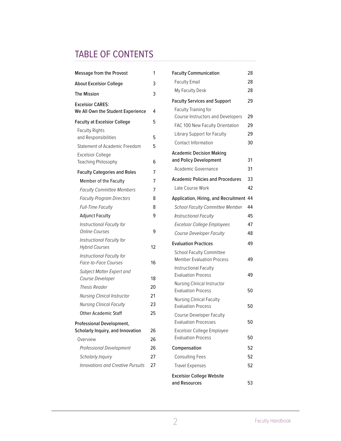# TABLE OF CONTENTS

| Message from the Provost                                                       | 1        |
|--------------------------------------------------------------------------------|----------|
| <b>About Excelsior College</b>                                                 |          |
| The Mission                                                                    | 3        |
| <b>Excelsior CARES:</b><br>We All Own the Student Experience                   | 4        |
| Faculty at Excelsior College                                                   | 5        |
| <b>Faculty Rights</b><br>and Responsibilities<br>Statement of Academic Freedom | 5<br>5   |
| <b>Excelsior College</b><br>Teaching Philosophy                                | 6        |
| <b>Faculty Categories and Roles</b>                                            | 7        |
| Member of the Faculty                                                          | 7        |
| <b>Faculty Committee Members</b>                                               | 7        |
| <b>Faculty Program Directors</b>                                               | 8        |
| Full-Time Faculty                                                              | 8        |
| <b>Adjunct Faculty</b>                                                         | 9        |
| <b>Instructional Faculty for</b><br><b>Online Courses</b>                      | 9        |
| Instructional Faculty for<br><b>Hybrid Courses</b>                             | 12       |
| Instructional Faculty for<br>Face-to-Face Courses                              | 16       |
| <b>Subject Matter Expert and</b>                                               |          |
| Course Developer                                                               | 18       |
| Thesis Reader<br><b>Nursing Clinical Instructor</b>                            | 20<br>21 |
| <b>Nursing Clinical Faculty</b>                                                | 23       |
| <b>Other Academic Staff</b>                                                    | 25       |
|                                                                                |          |
| Professional Development,<br>Scholarly Inquiry, and Innovation                 | 26       |
| Overview                                                                       | 26       |
| Professional Development                                                       | 26       |
| Scholarly Inquiry                                                              | 27       |
| Innovations and Creative Pursuits                                              | 27       |

| <b>Faculty Communication</b>                                   | 28 |
|----------------------------------------------------------------|----|
| <b>Faculty Email</b>                                           | 28 |
| My Faculty Desk                                                | 28 |
| <b>Faculty Services and Support</b>                            | 29 |
| <b>Faculty Training for</b>                                    |    |
| Course Instructors and Developers                              | 29 |
| FAC 100 New Faculty Orientation                                | 29 |
| Library Support for Faculty                                    | 29 |
| <b>Contact Information</b>                                     | 30 |
| <b>Academic Decision Making</b>                                |    |
| and Policy Development                                         | 31 |
| Academic Governance                                            | 31 |
| <b>Academic Policies and Procedures</b>                        | 33 |
| Late Course Work                                               | 42 |
| Application, Hiring, and Recruitment                           | 44 |
| School Faculty Committee Member                                | 44 |
| <b>Instructional Faculty</b>                                   | 45 |
| <b>Excelsior College Employees</b>                             | 47 |
| <b>Course Developer Faculty</b>                                | 48 |
| <b>Evaluation Practices</b>                                    | 49 |
| <b>School Faculty Committee</b><br>Member Evaluation Process   | 49 |
| <b>Instructional Faculty</b>                                   |    |
| <b>Evaluation Process</b>                                      | 49 |
| Nursing Clinical Instructor                                    |    |
| <b>Evaluation Process</b>                                      | 50 |
| <b>Nursing Clinical Faculty</b>                                |    |
| <b>Evaluation Process</b>                                      | 50 |
| Course Developer Faculty                                       |    |
| <b>Evaluation Processes</b>                                    | 50 |
| <b>Excelsior College Employee</b><br><b>Evaluation Process</b> | 50 |
| Compensation                                                   | 52 |
| <b>Consulting Fees</b>                                         | 52 |
| <b>Travel Expenses</b>                                         | 52 |
| <b>Excelsior College Website</b>                               |    |
| and Resources                                                  | 53 |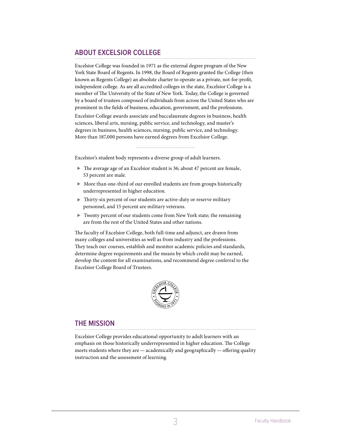# <span id="page-3-0"></span>**ABOUT EXCELSIOR COLLEGE**

Excelsior College was founded in 1971 as the external degree program of the New York State Board of Regents. In 1998, the Board of Regents granted the College (then known as Regents College) an absolute charter to operate as a private, not-for-profit, independent college. As are all accredited colleges in the state, Excelsior College is a member of The University of the State of New York. Today, the College is governed by a board of trustees composed of individuals from across the United States who are prominent in the fields of business, education, government, and the professions.

Excelsior College awards associate and baccalaureate degrees in business, health sciences, liberal arts, nursing, public service, and technology, and master's degrees in business, health sciences, nursing, public service, and technology. More than 187,000 persons have earned degrees from Excelsior College.

Excelsior's student body represents a diverse group of adult learners.

- The average age of an Excelsior student is 36; about 47 percent are female, 53 percent are male.
- More than one-third of our enrolled students are from groups historically underrepresented in higher education.
- Thirty-six percent of our students are active-duty or reserve military personnel, and 15 percent are military veterans.
- Twenty percent of our students come from New York state; the remaining are from the rest of the United States and other nations.

The faculty of Excelsior College, both full-time and adjunct, are drawn from many colleges and universities as well as from industry and the professions. They teach our courses, establish and monitor academic policies and standards, determine degree requirements and the means by which credit may be earned, develop the content for all examinations, and recommend degree conferral to the Excelsior College Board of Trustees.



# **THE MISSION**

Excelsior College provides educational opportunity to adult learners with an emphasis on those historically underrepresented in higher education. The College meets students where they are — academically and geographically — offering quality instruction and the assessment of learning.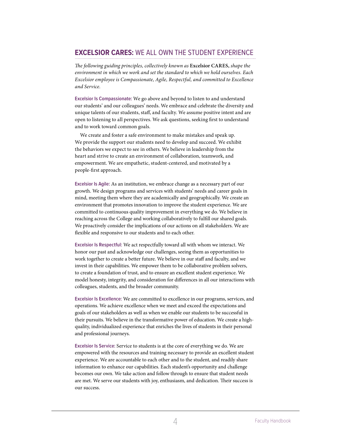# <span id="page-4-1"></span><span id="page-4-0"></span>**EXCELSIOR CARES:** WE ALL OWN THE STUDENT EXPERIENCE

*The following guiding principles, collectively known as* **Excelsior CARES,** *shape the environment in which we work and set the standard to which we hold ourselves. Each Excelsior employee is Compassionate, Agile, Respectful, and committed to Excellence and Service.*

**Excelsior Is Compassionate:** We go above and beyond to listen to and understand our students' and our colleagues' needs. We embrace and celebrate the diversity and unique talents of our students, staff, and faculty. We assume positive intent and are open to listening to all perspectives. We ask questions, seeking first to understand and to work toward common goals.

We create and foster a safe environment to make mistakes and speak up. We provide the support our students need to develop and succeed. We exhibit the behaviors we expect to see in others. We believe in leadership from the heart and strive to create an environment of collaboration, teamwork, and empowerment. We are empathetic, student-centered, and motivated by a people-first approach.

**Excelsior Is Agile:** As an institution, we embrace change as a necessary part of our growth. We design programs and services with students' needs and career goals in mind, meeting them where they are academically and geographically. We create an environment that promotes innovation to improve the student experience. We are committed to continuous quality improvement in everything we do. We believe in reaching across the College and working collaboratively to fulfill our shared goals. We proactively consider the implications of our actions on all stakeholders. We are flexible and responsive to our students and to each other.

**Excelsior Is Respectful:** We act respectfully toward all with whom we interact. We honor our past and acknowledge our challenges, seeing them as opportunities to work together to create a better future. We believe in our staff and faculty, and we invest in their capabilities. We empower them to be collaborative problem solvers, to create a foundation of trust, and to ensure an excellent student experience. We model honesty, integrity, and consideration for differences in all our interactions with colleagues, students, and the broader community.

**Excelsior Is Excellence:** We are committed to excellence in our programs, services, and operations. We achieve excellence when we meet and exceed the expectations and goals of our stakeholders as well as when we enable our students to be successful in their pursuits. We believe in the transformative power of education. We create a highquality, individualized experience that enriches the lives of students in their personal and professional journeys.

**Excelsior Is Service:** Service to students is at the core of everything we do. We are empowered with the resources and training necessary to provide an excellent student experience. We are accountable to each other and to the student, and readily share information to enhance our capabilities. Each student's opportunity and challenge becomes our own. We take action and follow through to ensure that student needs are met. We serve our students with joy, enthusiasm, and dedication. Their success is our success.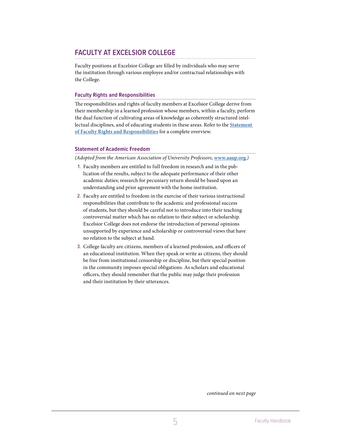# <span id="page-5-0"></span>**FACULTY AT EXCELSIOR COLLEGE**

Faculty positions at Excelsior College are filled by individuals who may serve the institution through various employee and/or contractual relationships with the College.

# **Faculty Rights and Responsibilities**

The responsibilities and rights of faculty members at Excelsior College derive from their membership in a learned profession whose members, within a faculty, perform the dual function of cultivating areas of knowledge as coherently structured intellectual disciplines, and of educating students in these areas. Refer to the **Statement of Faculty Rights and Responsibilities** for a complete overview.

# **Statement of Academic Freedom**

*(Adopted from the American Association of University Professors,* **www.aaup.org***.)*

- 1. Faculty members are entitled to full freedom in research and in the publication of the results, subject to the adequate performance of their other academic duties; research for pecuniary return should be based upon an understanding and prior agreement with the home institution.
- 2. Faculty are entitled to freedom in the exercise of their various instructional responsibilities that contribute to the academic and professional success of students, but they should be careful not to introduce into their teaching controversial matter which has no relation to their subject or scholarship. Excelsior College does not endorse the introduction of personal opinions unsupported by experience and scholarship or controversial views that have no relation to the subject at hand.
- 3. College faculty are citizens, members of a learned profession, and officers of an educational institution. When they speak or write as citizens, they should be free from institutional censorship or discipline, but their special position in the community imposes special obligations. As scholars and educational officers, they should remember that the public may judge their profession and their institution by their utterances.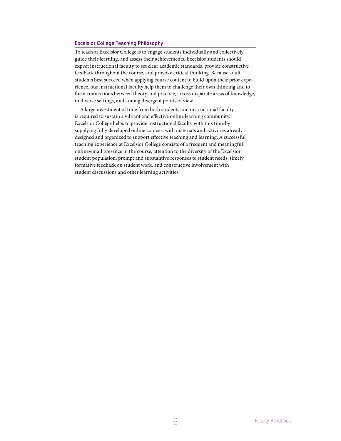# <span id="page-6-0"></span>**Excelsior College Teaching Philosophy**

To teach at Excelsior College is to engage students individually and collectively, guide their learning, and assess their achievements. Excelsior students should expect instructional faculty to set clear academic standards, provide constructive feedback throughout the course, and provoke critical thinking. Because adult students best succeed when applying course content to build upon their prior experience, our instructional faculty help them to challenge their own thinking and to form connections between theory and practice, across disparate areas of knowledge, in diverse settings, and among divergent points of view.

A large investment of time from both students and instructional faculty is required to sustain a vibrant and effective online learning community. Excelsior College helps to provide instructional faculty with this time by supplying fully developed online courses, with materials and activities already designed and organized to support effective teaching and learning. A successful teaching experience at Excelsior College consists of a frequent and meaningful online/email presence in the course, attention to the diversity of the Excelsior student population, prompt and substantive responses to student needs, timely formative feedback on student work, and constructive involvement with student discussions and other learning activities.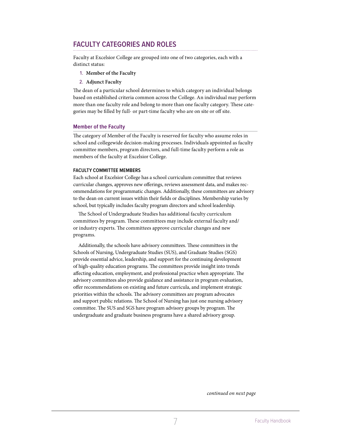# <span id="page-7-0"></span>**FACULTY CATEGORIES AND ROLES**

Faculty at Excelsior College are grouped into one of two categories, each with a distinct status:

- 1. **Member of the Faculty**
- 2. **Adjunct Faculty**

The dean of a particular school determines to which category an individual belongs based on established criteria common across the College. An individual may perform more than one faculty role and belong to more than one faculty category. These categories may be filled by full- or part-time faculty who are on site or off site.

# **Member of the Faculty**

The category of Member of the Faculty is reserved for faculty who assume roles in school and collegewide decision-making processes. Individuals appointed as faculty committee members, program directors, and full-time faculty perform a role as members of the faculty at Excelsior College.

#### **FACULTY COMMITTEE MEMBERS**

Each school at Excelsior College has a school curriculum committee that reviews curricular changes, approves new offerings, reviews assessment data, and makes recommendations for programmatic changes. Additionally, these committees are advisory to the dean on current issues within their fields or disciplines. Membership varies by school, but typically includes faculty program directors and school leadership.

The School of Undergraduate Studies has additional faculty curriculum committees by program. These committees may include external faculty and/ or industry experts. The committees approve curricular changes and new programs.

Additionally, the schools have advisory committees. These committees in the Schools of Nursing, Undergraduate Studies (SUS), and Graduate Studies (SGS) provide essential advice, leadership, and support for the continuing development of high-quality education programs. The committees provide insight into trends affecting education, employment, and professional practice when appropriate. The advisory committees also provide guidance and assistance in program evaluation, offer recommendations on existing and future curricula, and implement strategic priorities within the schools. The advisory committees are program advocates and support public relations. The School of Nursing has just one nursing advisory committee. The SUS and SGS have program advisory groups by program. The undergraduate and graduate business programs have a shared advisory group.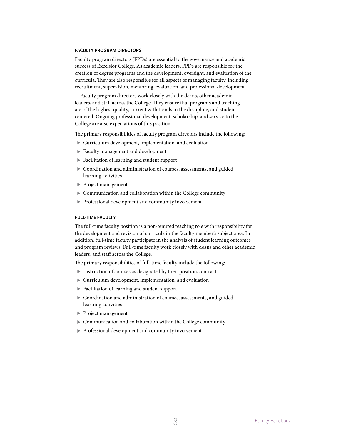#### <span id="page-8-0"></span>**FACULTY PROGRAM DIRECTORS**

Faculty program directors (FPDs) are essential to the governance and academic success of Excelsior College. As academic leaders, FPDs are responsible for the creation of degree programs and the development, oversight, and evaluation of the curricula. They are also responsible for all aspects of managing faculty, including recruitment, supervision, mentoring, evaluation, and professional development.

Faculty program directors work closely with the deans, other academic leaders, and staff across the College. They ensure that programs and teaching are of the highest quality, current with trends in the discipline, and studentcentered. Ongoing professional development, scholarship, and service to the College are also expectations of this position.

The primary responsibilities of faculty program directors include the following:

- Curriculum development, implementation, and evaluation
- Faculty management and development
- Facilitation of learning and student support
- Coordination and administration of courses, assessments, and guided learning activities
- **Project management**
- Communication and collaboration within the College community
- Professional development and community involvement

#### **FULL-TIME FACULTY**

The full-time faculty position is a non-tenured teaching role with responsibility for the development and revision of curricula in the faculty member's subject area. In addition, full-time faculty participate in the analysis of student learning outcomes and program reviews. Full-time faculty work closely with deans and other academic leaders, and staff across the College.

The primary responsibilities of full-time faculty include the following:

- Instruction of courses as designated by their position/contract
- Curriculum development, implementation, and evaluation
- Facilitation of learning and student support
- Coordination and administration of courses, assessments, and guided learning activities
- Project management
- Communication and collaboration within the College community
- Professional development and community involvement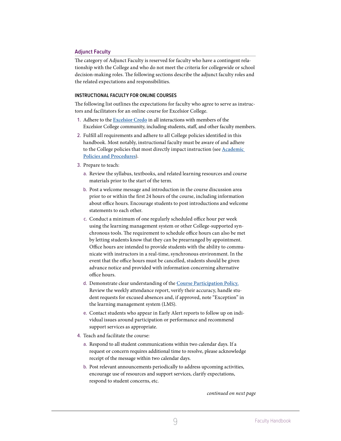# <span id="page-9-0"></span>**Adjunct Faculty**

The category of Adjunct Faculty is reserved for faculty who have a contingent relationship with the College and who do not meet the criteria for collegewide or school decision-making roles. The following sections describe the adjunct faculty roles and the related expectations and responsibilities.

#### <span id="page-9-1"></span>**INSTRUCTIONAL FACULTY FOR ONLINE COURSES**

The following list outlines the expectations for faculty who agree to serve as instructors and facilitators for an online course for Excelsior College.

- 1. Adhere to the **[Excelsior Credo](#page-4-1)** in all interactions with members of the Excelsior College community, including students, staff, and other faculty members.
- 2. Fulfill all requirements and adhere to all College policies identified in this handbook. Most notably, instructional faculty must be aware of and adhere to the College policies that most directly impact instruction (see **[Academic](#page-33-1)  [Policies and Procedure](#page-33-1)s**).
- 3. Prepare to teach:
	- a. Review the syllabus, textbooks, and related learning resources and course materials prior to the start of the term.
	- b. Post a welcome message and introduction in the course discussion area prior to or within the first 24 hours of the course, including information about office hours. Encourage students to post introductions and welcome statements to each other.
	- c. Conduct a minimum of one regularly scheduled office hour per week using the learning management system or other College-supported synchronous tools. The requirement to schedule office hours can also be met by letting students know that they can be prearranged by appointment. Office hours are intended to provide students with the ability to communicate with instructors in a real-time, synchronous environment. In the event that the office hours must be cancelled, students should be given advance notice and provided with information concerning alternative office hours.
	- d. Demonstrate clear understanding of the **Course [Participation Policy.](https://www.excelsior.edu/policies/students/)** Review the weekly attendance report, verify their accuracy, handle student requests for excused absences and, if approved, note "Exception" in the learning management system (LMS).
	- e. Contact students who appear in Early Alert reports to follow up on individual issues around participation or performance and recommend support services as appropriate.
- 4. Teach and facilitate the course:
	- a. Respond to all student communications within two calendar days. If a request or concern requires additional time to resolve, please acknowledge receipt of the message within two calendar days.
	- b. Post relevant announcements periodically to address upcoming activities, encourage use of resources and support services, clarify expectations, respond to student concerns, etc.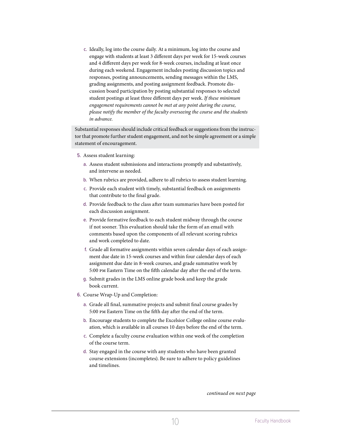c. Ideally, log into the course daily. At a minimum, log into the course and engage with students at least 3 different days per week for 15-week courses and 4 different days per week for 8-week courses, including at least once during each weekend. Engagement includes posting discussion topics and responses, posting announcements, sending messages within the LMS, grading assignments, and posting assignment feedback. Promote discussion board participation by posting substantial responses to selected student postings at least three different days per week. *If these minimum engagement requirements cannot be met at any point during the course, please notify the member of the faculty overseeing the course and the students in advance.*

Substantial responses should include critical feedback or suggestions from the instructor that promote further student engagement, and not be simple agreement or a simple statement of encouragement.

- 5. Assess student learning:
	- a. Assess student submissions and interactions promptly and substantively, and intervene as needed.
	- b. When rubrics are provided, adhere to all rubrics to assess student learning.
	- c. Provide each student with timely, substantial feedback on assignments that contribute to the final grade.
	- d. Provide feedback to the class after team summaries have been posted for each discussion assignment.
	- e. Provide formative feedback to each student midway through the course if not sooner. This evaluation should take the form of an email with comments based upon the components of all relevant scoring rubrics and work completed to date.
	- f. Grade all formative assignments within seven calendar days of each assignment due date in 15-week courses and within four calendar days of each assignment due date in 8-week courses, and grade summative work by 5:00 pm Eastern Time on the fifth calendar day after the end of the term.
	- g. Submit grades in the LMS online grade book and keep the grade book current.
- 6. Course Wrap-Up and Completion:
	- a. Grade all final, summative projects and submit final course grades by 5:00 pm Eastern Time on the fifth day after the end of the term.
	- b. Encourage students to complete the Excelsior College online course evaluation, which is available in all courses 10 days before the end of the term.
	- c. Complete a faculty course evaluation within one week of the completion of the course term.
	- d. Stay engaged in the course with any students who have been granted course extensions (incompletes). Be sure to adhere to policy guidelines and timelines.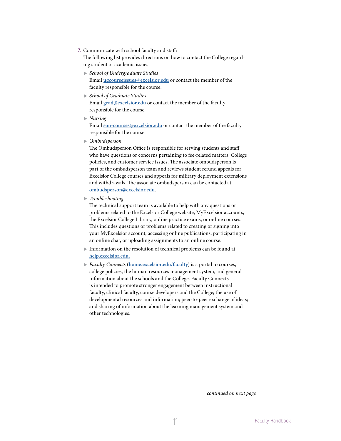7. Communicate with school faculty and staff:

The following list provides directions on how to contact the College regarding student or academic issues.

- *School of Undergraduate Studies* Email **[ugcourseissues@excelsior.edu](mailto:ugcourseissues@excelsior.edu)** or contact the member of the faculty responsible for the course.
- *School of Graduate Studies* Email **[grad@excelsior.edu](mailto:grad@excelsior.edu)** or contact the member of the faculty responsible for the course.
- *Nursing* Email **[son-courses@excelsior.edu](mailto:son-courses@excelsior.edu)** or contact the member of the faculty responsible for the course.
- *Ombudsperson*

The Ombudsperson Office is responsible for serving students and staff who have questions or concerns pertaining to fee-related matters, College policies, and customer service issues. The associate ombudsperson is part of the ombudsperson team and reviews student refund appeals for Excelsior College courses and appeals for military deployment extensions and withdrawals. The associate ombudsperson can be contacted at: **[ombudsperson@excelsior.edu](mailto:ombudsperson@excelsior.edu)**.

*Troubleshooting*

The technical support team is available to help with any questions or problems related to the Excelsior College website, MyExcelsior accounts, the Excelsior College Library, online practice exams, or online courses. This includes questions or problems related to creating or signing into your MyExcelsior account, accessing online publications, participating in an online chat, or uploading assignments to an online course.

- Information on the resolution of technical problems can be found at **<help.excelsior.edu>.**
- *Faculty Connects* (**[home.excelsior.edu/faculty](https://home.excelsior.edu/faculty)**) is a portal to courses, college policies, the human resources management system, and general information about the schools and the College. Faculty Connects is intended to promote stronger engagement between instructional faculty, clinical faculty, course developers and the College; the use of developmental resources and information; peer-to-peer exchange of ideas; and sharing of information about the learning management system and other technologies.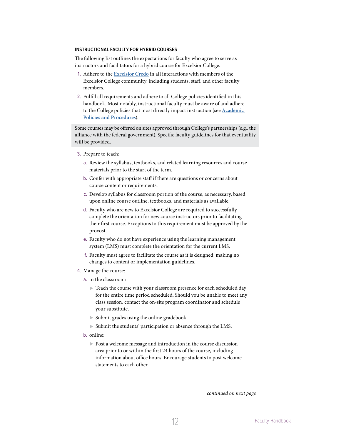#### <span id="page-12-0"></span>**INSTRUCTIONAL FACULTY FOR HYBRID COURSES**

The following list outlines the expectations for faculty who agree to serve as instructors and facilitators for a hybrid course for Excelsior College.

- 1. Adhere to the **[Excelsior Credo](#page-4-1)** in all interactions with members of the Excelsior College community, including students, staff, and other faculty members.
- 2. Fulfill all requirements and adhere to all College policies identified in this handbook. Most notably, instructional faculty must be aware of and adhere to the College policies that most directly impact instruction (see **[Academic](#page-33-1)  [Policies and Procedure](#page-33-1)s**).

Some courses may be offered on sites approved through College's partnerships (e.g., the alliance with the federal government). Specific faculty guidelines for that eventuality will be provided.

- 3. Prepare to teach:
	- a. Review the syllabus, textbooks, and related learning resources and course materials prior to the start of the term.
	- b. Confer with appropriate staff if there are questions or concerns about course content or requirements.
	- c. Develop syllabus for classroom portion of the course, as necessary, based upon online course outline, textbooks, and materials as available.
	- d. Faculty who are new to Excelsior College are required to successfully complete the orientation for new course instructors prior to facilitating their first course. Exceptions to this requirement must be approved by the provost.
	- e. Faculty who do not have experience using the learning management system (LMS) must complete the orientation for the current LMS.
	- f. Faculty must agree to facilitate the course as it is designed, making no changes to content or implementation guidelines.
- 4. Manage the course:
	- a. in the classroom:
		- Teach the course with your classroom presence for each scheduled day for the entire time period scheduled. Should you be unable to meet any class session, contact the on-site program coordinator and schedule your substitute.
		- Submit grades using the online gradebook.
		- Submit the students' participation or absence through the LMS.
	- b. online:
		- ▶ Post a welcome message and introduction in the course discussion area prior to or within the first 24 hours of the course, including information about office hours. Encourage students to post welcome statements to each other.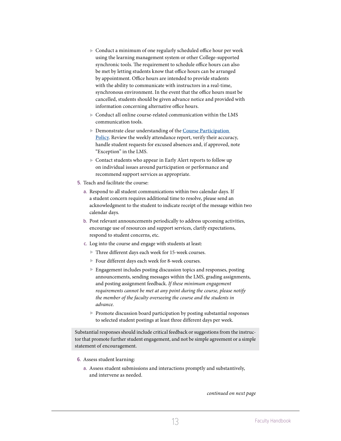- Conduct a minimum of one regularly scheduled office hour per week using the learning management system or other College-supported synchronic tools. The requirement to schedule office hours can also be met by letting students know that office hours can be arranged by appointment. Office hours are intended to provide students with the ability to communicate with instructors in a real-time, synchronous environment. In the event that the office hours must be cancelled, students should be given advance notice and provided with information concerning alternative office hours.
- Conduct all online course-related communication within the LMS communication tools.
- Demonstrate clear understanding of the **Course Participation Policy**. Review the weekly attendance report, verify their accuracy, handle student requests for excused absences and, if approved, note "Exception" in the LMS.
- Contact students who appear in Early Alert reports to follow up on individual issues around participation or performance and recommend support services as appropriate.
- 5. Teach and facilitate the course:
	- a. Respond to all student communications within two calendar days. If a student concern requires additional time to resolve, please send an acknowledgment to the student to indicate receipt of the message within two calendar days.
	- b. Post relevant announcements periodically to address upcoming activities, encourage use of resources and support services, clarify expectations, respond to student concerns, etc.
	- c. Log into the course and engage with students at least:
		- Three different days each week for 15-week courses.
		- Four different days each week for 8-week courses.
		- Engagement includes posting discussion topics and responses, posting announcements, sending messages within the LMS, grading assignments, and posting assignment feedback. *If these minimum engagement requirements cannot be met at any point during the course, please notify the member of the faculty overseeing the course and the students in advance.*
		- Promote discussion board participation by posting substantial responses to selected student postings at least three different days per week.

Substantial responses should include critical feedback or suggestions from the instructor that promote further student engagement, and not be simple agreement or a simple statement of encouragement.

- 6. Assess student learning:
	- a. Assess student submissions and interactions promptly and substantively, and intervene as needed.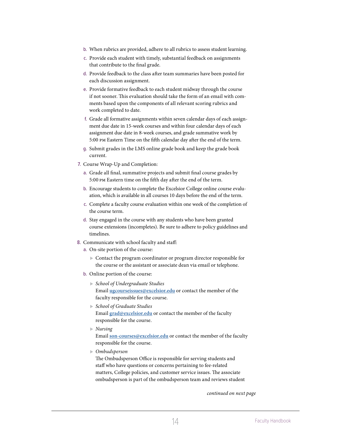- b. When rubrics are provided, adhere to all rubrics to assess student learning.
- c. Provide each student with timely, substantial feedback on assignments that contribute to the final grade.
- d. Provide feedback to the class after team summaries have been posted for each discussion assignment.
- e. Provide formative feedback to each student midway through the course if not sooner. This evaluation should take the form of an email with comments based upon the components of all relevant scoring rubrics and work completed to date.
- f. Grade all formative assignments within seven calendar days of each assignment due date in 15-week courses and within four calendar days of each assignment due date in 8-week courses, and grade summative work by 5:00 pm Eastern Time on the fifth calendar day after the end of the term.
- g. Submit grades in the LMS online grade book and keep the grade book current.
- 7. Course Wrap-Up and Completion:
	- a. Grade all final, summative projects and submit final course grades by 5:00 pm Eastern time on the fifth day after the end of the term.
	- b. Encourage students to complete the Excelsior College online course evaluation, which is available in all courses 10 days before the end of the term.
	- c. Complete a faculty course evaluation within one week of the completion of the course term.
	- d. Stay engaged in the course with any students who have been granted course extensions (incompletes). Be sure to adhere to policy guidelines and timelines.
- 8. Communicate with school faculty and staff:
	- a. On-site portion of the course:
		- Contact the program coordinator or program director responsible for the course or the assistant or associate dean via email or telephone.
	- b. Online portion of the course:
		- *School of Undergraduate Studies* Email **[ugcourseissues@excelsior.edu](mailto:ugcourseissues@excelsior.edu)** or contact the member of the faculty responsible for the course.
		- *School of Graduate Studies* Email **[grad@excelsior.edu](mailto:grad@excelsior.edu)** or contact the member of the faculty responsible for the course.
		- *Nursing* Email **[son-courses@excelsior.edu](mailto:son-courses@excelsior.edu)** or contact the member of the faculty responsible for the course.
		- *Ombudsperson*

The Ombudsperson Office is responsible for serving students and staff who have questions or concerns pertaining to fee-related matters, College policies, and customer service issues. The associate ombudsperson is part of the ombudsperson team and reviews student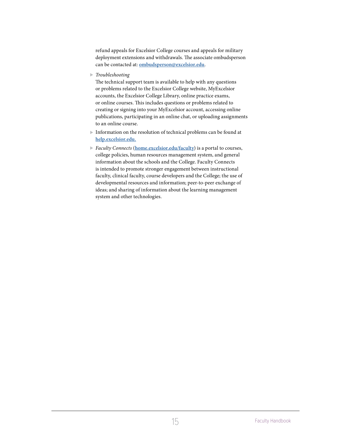refund appeals for Excelsior College courses and appeals for military deployment extensions and withdrawals. The associate ombudsperson can be contacted at: **[ombudsperson@excelsior.edu](mailto:ombudsperson@excelsior.edu)**.

*Troubleshooting*

The technical support team is available to help with any questions or problems related to the Excelsior College website, MyExcelsior accounts, the Excelsior College Library, online practice exams, or online courses. This includes questions or problems related to creating or signing into your MyExcelsior account, accessing online publications, participating in an online chat, or uploading assignments to an online course.

- Information on the resolution of technical problems can be found at **<help.excelsior.edu>.**
- *Faculty Connects* (**[home.excelsior.edu/faculty](https://home.excelsior.edu/faculty)**) is a portal to courses, college policies, human resources management system, and general information about the schools and the College. Faculty Connects is intended to promote stronger engagement between instructional faculty, clinical faculty, course developers and the College; the use of developmental resources and information; peer-to-peer exchange of ideas; and sharing of information about the learning management system and other technologies.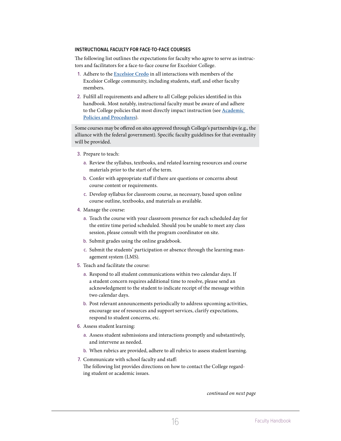#### <span id="page-16-0"></span>**INSTRUCTIONAL FACULTY FOR FACE-TO-FACE COURSES**

The following list outlines the expectations for faculty who agree to serve as instructors and facilitators for a face-to-face course for Excelsior College.

- 1. Adhere to the **[Excelsior Credo](#page-4-1)** in all interactions with members of the Excelsior College community, including students, staff, and other faculty members.
- 2. Fulfill all requirements and adhere to all College policies identified in this handbook. Most notably, instructional faculty must be aware of and adhere to the College policies that most directly impact instruction (see **[Academic](#page-33-1)  [Policies and Procedure](#page-33-1)s**).

Some courses may be offered on sites approved through College's partnerships (e.g., the alliance with the federal government). Specific faculty guidelines for that eventuality will be provided.

- 3. Prepare to teach:
	- a. Review the syllabus, textbooks, and related learning resources and course materials prior to the start of the term.
	- b. Confer with appropriate staff if there are questions or concerns about course content or requirements.
	- c. Develop syllabus for classroom course, as necessary, based upon online course outline, textbooks, and materials as available.
- 4. Manage the course:
	- a. Teach the course with your classroom presence for each scheduled day for the entire time period scheduled. Should you be unable to meet any class session, please consult with the program coordinator on site.
	- b. Submit grades using the online gradebook.
	- c. Submit the students' participation or absence through the learning management system (LMS).
- 5. Teach and facilitate the course:
	- a. Respond to all student communications within two calendar days. If a student concern requires additional time to resolve, please send an acknowledgment to the student to indicate receipt of the message within two calendar days.
	- b. Post relevant announcements periodically to address upcoming activities, encourage use of resources and support services, clarify expectations, respond to student concerns, etc.
- 6. Assess student learning:
	- a. Assess student submissions and interactions promptly and substantively, and intervene as needed.
	- b. When rubrics are provided, adhere to all rubrics to assess student learning.
- 7. Communicate with school faculty and staff: The following list provides directions on how to contact the College regarding student or academic issues.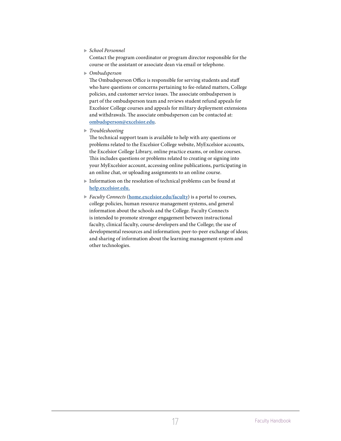# *School Personnel*

Contact the program coordinator or program director responsible for the course or the assistant or associate dean via email or telephone.

*Ombudsperson*

The Ombudsperson Office is responsible for serving students and staff who have questions or concerns pertaining to fee-related matters, College policies, and customer service issues. The associate ombudsperson is part of the ombudsperson team and reviews student refund appeals for Excelsior College courses and appeals for military deployment extensions and withdrawals. The associate ombudsperson can be contacted at: **[ombudsperson@excelsior.edu](mailto:ombudsperson@excelsior.edu)**.

*Troubleshooting*

The technical support team is available to help with any questions or problems related to the Excelsior College website, MyExcelsior accounts, the Excelsior College Library, online practice exams, or online courses. This includes questions or problems related to creating or signing into your MyExcelsior account, accessing online publications, participating in an online chat, or uploading assignments to an online course.

- Information on the resolution of technical problems can be found at **<help.excelsior.edu>.**
- *Faculty Connects* (**[home.excelsior.edu/faculty](https://home.excelsior.edu/faculty)**) is a portal to courses, college policies, human resource management systems, and general information about the schools and the College. Faculty Connects is intended to promote stronger engagement between instructional faculty, clinical faculty, course developers and the College; the use of developmental resources and information; peer-to-peer exchange of ideas; and sharing of information about the learning management system and other technologies.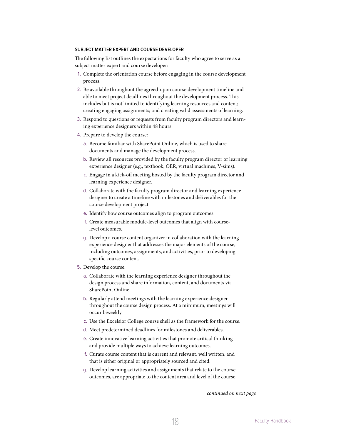#### <span id="page-18-0"></span>**SUBJECT MATTER EXPERT AND COURSE DEVELOPER**

The following list outlines the expectations for faculty who agree to serve as a subject matter expert and course developer:

- 1. Complete the orientation course before engaging in the course development process.
- 2. Be available throughout the agreed-upon course development timeline and able to meet project deadlines throughout the development process. This includes but is not limited to identifying learning resources and content; creating engaging assignments; and creating valid assessments of learning.
- 3. Respond to questions or requests from faculty program directors and learning experience designers within 48 hours.
- 4. Prepare to develop the course:
	- a. Become familiar with SharePoint Online, which is used to share documents and manage the development process.
	- b. Review all resources provided by the faculty program director or learning experience designer (e.g., textbook, OER, virtual machines, V-sims).
	- c. Engage in a kick-off meeting hosted by the faculty program director and learning experience designer.
	- d. Collaborate with the faculty program director and learning experience designer to create a timeline with milestones and deliverables for the course development project.
	- e. Identify how course outcomes align to program outcomes.
	- f. Create measurable module-level outcomes that align with courselevel outcomes.
	- g. Develop a course content organizer in collaboration with the learning experience designer that addresses the major elements of the course, including outcomes, assignments, and activities, prior to developing specific course content.
- 5. Develop the course:
	- a. Collaborate with the learning experience designer throughout the design process and share information, content, and documents via SharePoint Online.
	- b. Regularly attend meetings with the learning experience designer throughout the course design process. At a minimum, meetings will occur biweekly.
	- c. Use the Excelsior College course shell as the framework for the course.
	- d. Meet predetermined deadlines for milestones and deliverables.
	- e. Create innovative learning activities that promote critical thinking and provide multiple ways to achieve learning outcomes.
	- f. Curate course content that is current and relevant, well written, and that is either original or appropriately sourced and cited.
	- g. Develop learning activities and assignments that relate to the course outcomes, are appropriate to the content area and level of the course,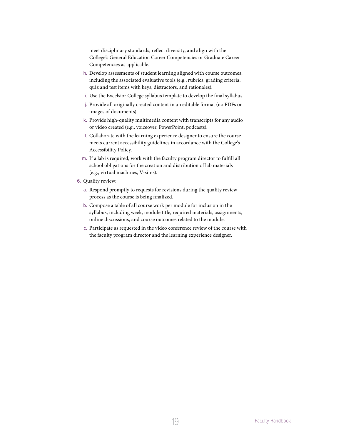meet disciplinary standards, reflect diversity, and align with the College's General Education Career Competencies or Graduate Career Competencies as applicable.

- h. Develop assessments of student learning aligned with course outcomes, including the associated evaluative tools (e.g., rubrics, grading criteria, quiz and test items with keys, distractors, and rationales).
- i. Use the Excelsior College syllabus template to develop the final syllabus.
- j. Provide all originally created content in an editable format (no PDFs or images of documents).
- k. Provide high-quality multimedia content with transcripts for any audio or video created (e.g., voiceover, PowerPoint, podcasts).
- l. Collaborate with the learning experience designer to ensure the course meets current accessibility guidelines in accordance with the College's Accessibility Policy.
- m. If a lab is required, work with the faculty program director to fulfill all school obligations for the creation and distribution of lab materials (e.g., virtual machines, V-sims).
- 6. Quality review:
	- a. Respond promptly to requests for revisions during the quality review process as the course is being finalized.
	- b. Compose a table of all course work per module for inclusion in the syllabus, including week, module title, required materials, assignments, online discussions, and course outcomes related to the module.
	- c. Participate as requested in the video conference review of the course with the faculty program director and the learning experience designer.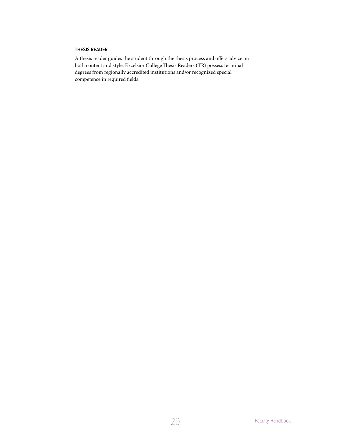# <span id="page-20-0"></span>**THESIS READER**

A thesis reader guides the student through the thesis process and offers advice on both content and style. Excelsior College Thesis Readers (TR) possess terminal degrees from regionally accredited institutions and/or recognized special competence in required fields.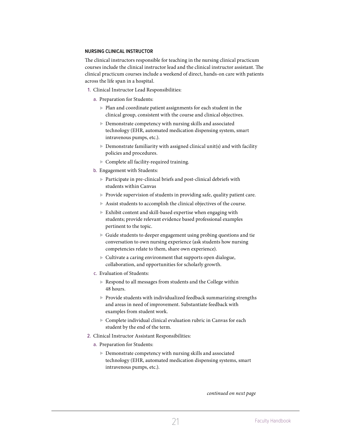# <span id="page-21-0"></span>**NURSING CLINICAL INSTRUCTOR**

The clinical instructors responsible for teaching in the nursing clinical practicum courses include the clinical instructor lead and the clinical instructor assistant. The clinical practicum courses include a weekend of direct, hands-on care with patients across the life span in a hospital.

- 1. Clinical Instructor Lead Responsibilities:
	- a. Preparation for Students:
		- Plan and coordinate patient assignments for each student in the clinical group, consistent with the course and clinical objectives.
		- Demonstrate competency with nursing skills and associated technology (EHR, automated medication dispensing system, smart intravenous pumps, etc.).
		- $\blacktriangleright$  Demonstrate familiarity with assigned clinical unit(s) and with facility policies and procedures.
		- Complete all facility-required training.
	- b. Engagement with Students:
		- $\triangleright$  Participate in pre-clinical briefs and post-clinical debriefs with students within Canvas
		- Provide supervision of students in providing safe, quality patient care.
		- Assist students to accomplish the clinical objectives of the course.
		- Exhibit content and skill-based expertise when engaging with students; provide relevant evidence based professional examples pertinent to the topic.
		- Guide students to deeper engagement using probing questions and tie conversation to own nursing experience (ask students how nursing competencies relate to them, share own experience).
		- Cultivate a caring environment that supports open dialogue, collaboration, and opportunities for scholarly growth.
	- c. Evaluation of Students:
		- Respond to all messages from students and the College within 48 hours.
		- $\blacktriangleright$  Provide students with individualized feedback summarizing strengths and areas in need of improvement. Substantiate feedback with examples from student work.
		- Complete individual clinical evaluation rubric in Canvas for each student by the end of the term.
- 2. Clinical Instructor Assistant Responsibilities:
	- a. Preparation for Students:
		- Demonstrate competency with nursing skills and associated technology (EHR, automated medication dispensing systems, smart intravenous pumps, etc.).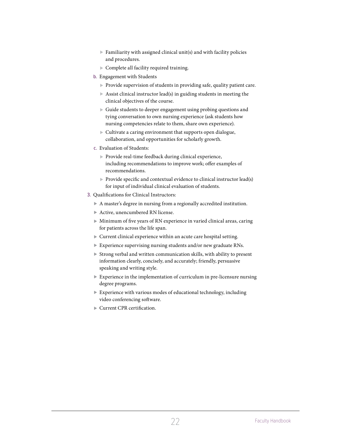- $\blacktriangleright$  Familiarity with assigned clinical unit(s) and with facility policies and procedures.
- Complete all facility required training.
- b. Engagement with Students
	- Provide supervision of students in providing safe, quality patient care.
	- $\triangleright$  Assist clinical instructor lead(s) in guiding students in meeting the clinical objectives of the course.
	- Guide students to deeper engagement using probing questions and tying conversation to own nursing experience (ask students how nursing competencies relate to them, share own experience).
	- $\triangleright$  Cultivate a caring environment that supports open dialogue, collaboration, and opportunities for scholarly growth.
- c. Evaluation of Students:
	- $\blacktriangleright$  Provide real-time feedback during clinical experience, including recommendations to improve work; offer examples of recommendations.
	- $\triangleright$  Provide specific and contextual evidence to clinical instructor lead(s) for input of individual clinical evaluation of students.
- 3. Qualifications for Clinical Instructors:
	- A master's degree in nursing from a regionally accredited institution.
	- Active, unencumbered RN license.
	- Minimum of five years of RN experience in varied clinical areas, caring for patients across the life span.
	- Current clinical experience within an acute care hospital setting.
	- Experience supervising nursing students and/or new graduate RNs.
	- Strong verbal and written communication skills, with ability to present information clearly, concisely, and accurately; friendly, persuasive speaking and writing style.
	- Experience in the implementation of curriculum in pre-licensure nursing degree programs.
	- $\triangleright$  Experience with various modes of educational technology, including video conferencing software.
	- ▶ Current CPR certification.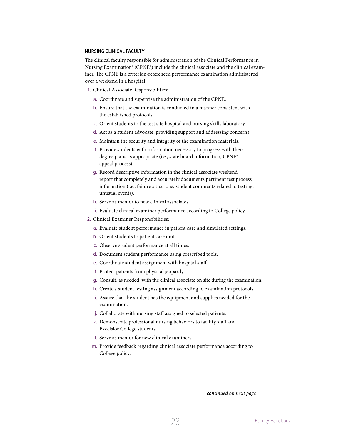#### <span id="page-23-0"></span>**NURSING CLINICAL FACULTY**

The clinical faculty responsible for administration of the Clinical Performance in Nursing Examination® (CPNE®) include the clinical associate and the clinical examiner. The CPNE is a criterion-referenced performance examination administered over a weekend in a hospital.

- 1. Clinical Associate Responsibilities:
	- a. Coordinate and supervise the administration of the CPNE.
	- b. Ensure that the examination is conducted in a manner consistent with the established protocols.
	- c. Orient students to the test site hospital and nursing skills laboratory.
	- d. Act as a student advocate, providing support and addressing concerns
	- e. Maintain the security and integrity of the examination materials.
	- f. Provide students with information necessary to progress with their degree plans as appropriate (i.e., state board information, CPNE® appeal process).
	- g. Record descriptive information in the clinical associate weekend report that completely and accurately documents pertinent test process information (i.e., failure situations, student comments related to testing, unusual events).
	- h. Serve as mentor to new clinical associates.
	- i. Evaluate clinical examiner performance according to College policy.
- 2. Clinical Examiner Responsibilities:
	- a. Evaluate student performance in patient care and simulated settings.
	- b. Orient students to patient care unit.
	- c. Observe student performance at all times.
	- d. Document student performance using prescribed tools.
	- e. Coordinate student assignment with hospital staff.
	- f. Protect patients from physical jeopardy.
	- g. Consult, as needed, with the clinical associate on site during the examination.
	- h. Create a student testing assignment according to examination protocols.
	- i. Assure that the student has the equipment and supplies needed for the examination.
	- j. Collaborate with nursing staff assigned to selected patients.
	- k. Demonstrate professional nursing behaviors to facility staff and Excelsior College students.
	- l. Serve as mentor for new clinical examiners.
	- m. Provide feedback regarding clinical associate performance according to College policy.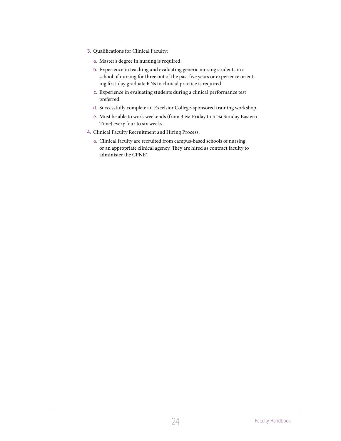- 3. Qualifications for Clinical Faculty:
	- a. Master's degree in nursing is required.
	- b. Experience in teaching and evaluating generic nursing students in a school of nursing for three out of the past five years or experience orienting first-day graduate RNs to clinical practice is required.
	- c. Experience in evaluating students during a clinical performance test preferred.
	- d. Successfully complete an Excelsior College-sponsored training workshop.
	- e. Must be able to work weekends (from 3 pm Friday to 5 pm Sunday Eastern Time) every four to six weeks.
- 4. Clinical Faculty Recruitment and Hiring Process:
	- a. Clinical faculty are recruited from campus-based schools of nursing or an appropriate clinical agency. They are hired as contract faculty to administer the CPNE®.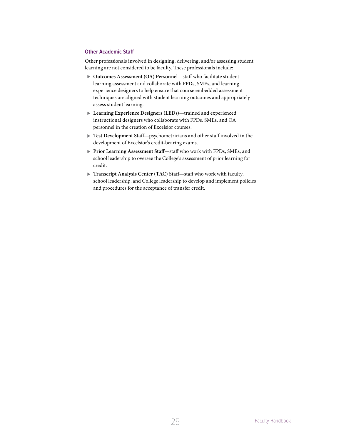# <span id="page-25-0"></span>**Other Academic Staff**

Other professionals involved in designing, delivering, and/or assessing student learning are not considered to be faculty. These professionals include:

- **Outcomes Assessment (OA) Personnel**—staff who facilitate student learning assessment and collaborate with FPDs, SMEs, and learning experience designers to help ensure that course embedded assessment techniques are aligned with student learning outcomes and appropriately assess student learning.
- **Learning Experience Designers (LEDs)**—trained and experienced instructional designers who collaborate with FPDs, SMEs, and OA personnel in the creation of Excelsior courses.
- **Test Development Staff**—psychometricians and other staff involved in the development of Excelsior's credit-bearing exams.
- **Prior Learning Assessment Staff**—staff who work with FPDs, SMEs, and school leadership to oversee the College's assessment of prior learning for credit.
- **Transcript Analysis Center (TAC) Staff**—staff who work with faculty, school leadership, and College leadership to develop and implement policies and procedures for the acceptance of transfer credit.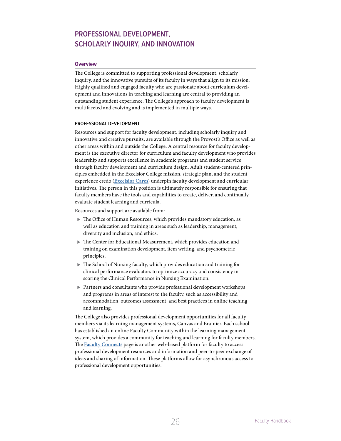# <span id="page-26-0"></span>**PROFESSIONAL DEVELOPMENT, SCHOLARLY INQUIRY, AND INNOVATION**

# **Overview**

The College is committed to supporting professional development, scholarly inquiry, and the innovative pursuits of its faculty in ways that align to its mission. Highly qualified and engaged faculty who are passionate about curriculum development and innovations in teaching and learning are central to providing an outstanding student experience. The College's approach to faculty development is multifaceted and evolving and is implemented in multiple ways.

# **PROFESSIONAL DEVELOPMENT**

Resources and support for faculty development, including scholarly inquiry and innovative and creative pursuits, are available through the Provost's Office as well as other areas within and outside the College. A central resource for faculty development is the executive director for curriculum and faculty development who provides leadership and supports excellence in academic programs and student service through faculty development and curriculum design. Adult student-centered principles embedded in the Excelsior College mission, strategic plan, and the student experience credo (**Excelsior Cares**) underpin faculty development and curricular initiatives. The person in this position is ultimately responsible for ensuring that faculty members have the tools and capabilities to create, deliver, and continually evaluate student learning and curricula.

Resources and support are available from:

- The Office of Human Resources, which provides mandatory education, as well as education and training in areas such as leadership, management, diversity and inclusion, and ethics.
- The Center for Educational Measurement, which provides education and training on examination development, item writing, and psychometric principles.
- The School of Nursing faculty, which provides education and training for clinical performance evaluators to optimize accuracy and consistency in scoring the Clinical Performance in Nursing Examination.
- Partners and consultants who provide professional development workshops and programs in areas of interest to the faculty, such as accessibility and accommodation, outcomes assessment, and best practices in online teaching and learning.

The College also provides professional development opportunities for all faculty members via its learning management systems, Canvas and Brainier. Each school has established an online Faculty Community within the learning management system, which provides a community for teaching and learning for faculty members. The **[Faculty Connects](https://home.excelsior.edu/faculty/)** page is another web-based platform for faculty to access professional development resources and information and peer-to-peer exchange of ideas and sharing of information. These platforms allow for asynchronous access to professional development opportunities.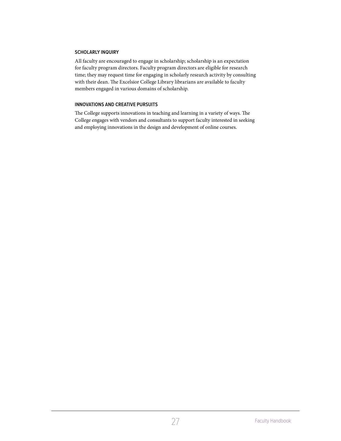# <span id="page-27-0"></span>**SCHOLARLY INQUIRY**

All faculty are encouraged to engage in scholarship; scholarship is an expectation for faculty program directors. Faculty program directors are eligible for research time; they may request time for engaging in scholarly research activity by consulting with their dean. The Excelsior College Library librarians are available to faculty members engaged in various domains of scholarship.

# **INNOVATIONS AND CREATIVE PURSUITS**

The College supports innovations in teaching and learning in a variety of ways. The College engages with vendors and consultants to support faculty interested in seeking and employing innovations in the design and development of online courses.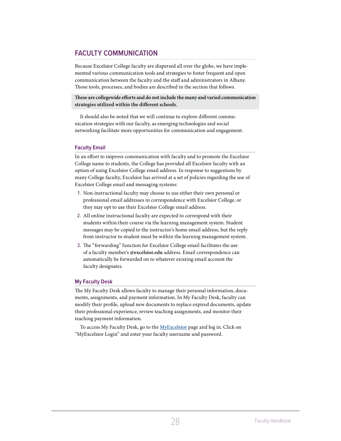# <span id="page-28-0"></span>**FACULTY COMMUNICATION**

Because Excelsior College faculty are dispersed all over the globe, we have implemented various communication tools and strategies to foster frequent and open communication between the faculty and the staff and administrators in Albany. Those tools, processes, and bodies are described in the section that follows.

**These are collegewide efforts and do not include the many and varied communication strategies utilized within the different schools.**

It should also be noted that we will continue to explore different communication strategies with our faculty, as emerging technologies and social networking facilitate more opportunities for communication and engagement.

# **Faculty Email**

In an effort to improve communication with faculty and to promote the Excelsior College name to students, the College has provided all Excelsior faculty with an option of using Excelsior College email address. In response to suggestions by many College faculty, Excelsior has arrived at a set of policies regarding the use of Excelsior College email and messaging systems:

- 1. Non-instructional faculty may choose to use either their own personal or professional email addresses in correspondence with Excelsior College, or they may opt to use their Excelsior College email address.
- 2. All online instructional faculty are expected to correspond with their students within their course via the learning management system. Student messages may be copied to the instructor's home email address, but the reply from instructor to student must be within the learning management system.
- 3. The "forwarding" function for Excelsior College email facilitates the use of a faculty member's **@excelsior.edu** address. Email correspondence can automatically be forwarded on to whatever existing email account the faculty designates.

# **My Faculty Desk**

The My Faculty Desk allows faculty to manage their personal information, documents, assignments, and payment information. In My Faculty Desk, faculty can modify their profile, upload new documents to replace expired documents, update their professional experience, review teaching assignments, and monitor their teaching payment information.

To access My Faculty Desk, go to the **[MyExcelsior](https://my.excelsior.edu/)** page and log in. Click on "MyExcelsior Login" and enter your faculty username and password.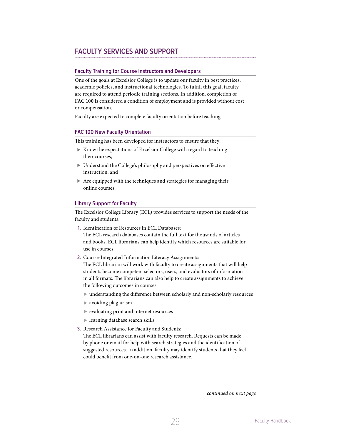# <span id="page-29-0"></span>**FACULTY SERVICES AND SUPPORT**

# **Faculty Training for Course Instructors and Developers**

One of the goals at Excelsior College is to update our faculty in best practices, academic policies, and instructional technologies. To fulfill this goal, faculty are required to attend periodic training sections. In addition, completion of **FAC 100** is considered a condition of employment and is provided without cost or compensation.

Faculty are expected to complete faculty orientation before teaching.

# **FAC 100 New Faculty Orientation**

This training has been developed for instructors to ensure that they:

- Know the expectations of Excelsior College with regard to teaching their courses,
- Understand the College's philosophy and perspectives on effective instruction, and
- Are equipped with the techniques and strategies for managing their online courses.

# **Library Support for Faculty**

The Excelsior College Library (ECL) provides services to support the needs of the faculty and students.

1. Identification of Resources in ECL Databases:

The ECL research databases contain the full text for thousands of articles and books. ECL librarians can help identify which resources are suitable for use in courses.

2. Course-Integrated Information Literacy Assignments:

The ECL librarian will work with faculty to create assignments that will help students become competent selectors, users, and evaluators of information in all formats. The librarians can also help to create assignments to achieve the following outcomes in courses:

- understanding the difference between scholarly and non-scholarly resources
- avoiding plagiarism
- evaluating print and internet resources
- learning database search skills
- 3. Research Assistance for Faculty and Students:

The ECL librarians can assist with faculty research. Requests can be made by phone or email for help with search strategies and the identification of suggested resources. In addition, faculty may identify students that they feel could benefit from one-on-one research assistance.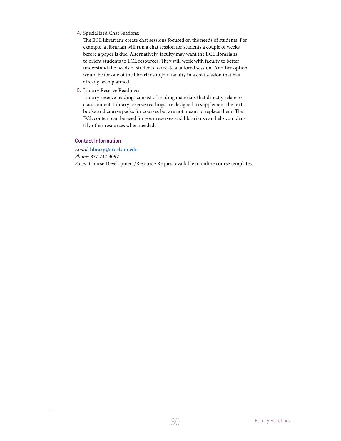<span id="page-30-0"></span>4. Specialized Chat Sessions:

The ECL librarians create chat sessions focused on the needs of students. For example, a librarian will run a chat session for students a couple of weeks before a paper is due. Alternatively, faculty may want the ECL librarians to orient students to ECL resources. They will work with faculty to better understand the needs of students to create a tailored session. Another option would be for one of the librarians to join faculty in a chat session that has already been planned.

5. Library Reserve Readings:

Library reserve readings consist of reading materials that directly relate to class content. Library reserve readings are designed to supplement the textbooks and course packs for courses but are not meant to replace them. The ECL content can be used for your reserves and librarians can help you identify other resources when needed.

# **Contact Information**

*Email:* **[library@excelsior.edu](mailto:library@excelsior.edu)** *Phone:* 877-247-3097 *Form:* Course Development/Resource Request available in online course templates.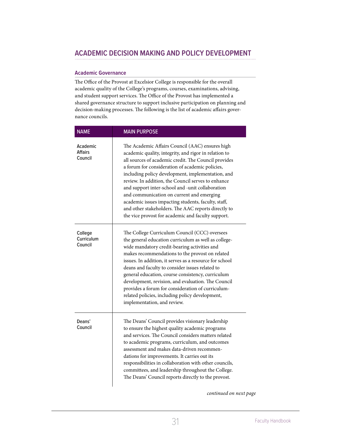# <span id="page-31-0"></span>**Academic Governance**

The Office of the Provost at Excelsior College is responsible for the overall academic quality of the College's programs, courses, examinations, advising, and student support services. The Office of the Provost has implemented a shared governance structure to support inclusive participation on planning and decision-making processes. The following is the list of academic affairs governance councils.

| <b>NAME</b>                      | <b>MAIN PURPOSE</b>                                                                                                                                                                                                                                                                                                                                                                                                                                                                                                                                                                                 |
|----------------------------------|-----------------------------------------------------------------------------------------------------------------------------------------------------------------------------------------------------------------------------------------------------------------------------------------------------------------------------------------------------------------------------------------------------------------------------------------------------------------------------------------------------------------------------------------------------------------------------------------------------|
| Academic<br>Affairs<br>Council   | The Academic Affairs Council (AAC) ensures high<br>academic quality, integrity, and rigor in relation to<br>all sources of academic credit. The Council provides<br>a forum for consideration of academic policies,<br>including policy development, implementation, and<br>review. In addition, the Council serves to enhance<br>and support inter-school and -unit collaboration<br>and communication on current and emerging<br>academic issues impacting students, faculty, staff,<br>and other stakeholders. The AAC reports directly to<br>the vice provost for academic and faculty support. |
| College<br>Curriculum<br>Council | The College Curriculum Council (CCC) oversees<br>the general education curriculum as well as college-<br>wide mandatory credit-bearing activities and<br>makes recommendations to the provost on related<br>issues. In addition, it serves as a resource for school<br>deans and faculty to consider issues related to<br>general education, course consistency, curriculum<br>development, revision, and evaluation. The Council<br>provides a forum for consideration of curriculum-<br>related policies, including policy development,<br>implementation, and review.                            |
| Deans'<br>Council                | The Deans' Council provides visionary leadership<br>to ensure the highest quality academic programs<br>and services. The Council considers matters related<br>to academic programs, curriculum, and outcomes<br>assessment and makes data-driven recommen-<br>dations for improvements. It carries out its<br>responsibilities in collaboration with other councils,<br>committees, and leadership throughout the College.<br>The Deans' Council reports directly to the provost.                                                                                                                   |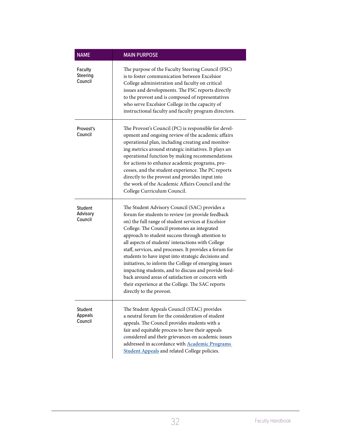| <b>NAME</b>                                  | <b>MAIN PURPOSE</b>                                                                                                                                                                                                                                                                                                                                                                                                                                                                                                                                                                                                                                                                        |
|----------------------------------------------|--------------------------------------------------------------------------------------------------------------------------------------------------------------------------------------------------------------------------------------------------------------------------------------------------------------------------------------------------------------------------------------------------------------------------------------------------------------------------------------------------------------------------------------------------------------------------------------------------------------------------------------------------------------------------------------------|
| <b>Faculty</b><br><b>Steering</b><br>Council | The purpose of the Faculty Steering Council (FSC)<br>is to foster communication between Excelsior<br>College administration and faculty on critical<br>issues and developments. The FSC reports directly<br>to the provost and is composed of representatives<br>who serve Excelsior College in the capacity of<br>instructional faculty and faculty program directors.                                                                                                                                                                                                                                                                                                                    |
| Provost's<br>Council                         | The Provost's Council (PC) is responsible for devel-<br>opment and ongoing review of the academic affairs<br>operational plan, including creating and monitor-<br>ing metrics around strategic initiatives. It plays an<br>operational function by making recommendations<br>for actions to enhance academic programs, pro-<br>cesses, and the student experience. The PC reports<br>directly to the provost and provides input into<br>the work of the Academic Affairs Council and the<br>College Curriculum Council.                                                                                                                                                                    |
| Student<br>Advisory<br>Council               | The Student Advisory Council (SAC) provides a<br>forum for students to review (or provide feedback<br>on) the full range of student services at Excelsior<br>College. The Council promotes an integrated<br>approach to student success through attention to<br>all aspects of students' interactions with College<br>staff, services, and processes. It provides a forum for<br>students to have input into strategic decisions and<br>initiatives, to inform the College of emerging issues<br>impacting students, and to discuss and provide feed-<br>back around areas of satisfaction or concern with<br>their experience at the College. The SAC reports<br>directly to the provost. |
| Student<br>Appeals<br>Council                | The Student Appeals Council (STAC) provides<br>a neutral forum for the consideration of student<br>appeals. The Council provides students with a<br>fair and equitable process to have their appeals<br>considered and their grievances on academic issues<br>addressed in accordance with <b>Academic Programs</b><br><b>Student Appeals</b> and related College policies.                                                                                                                                                                                                                                                                                                                |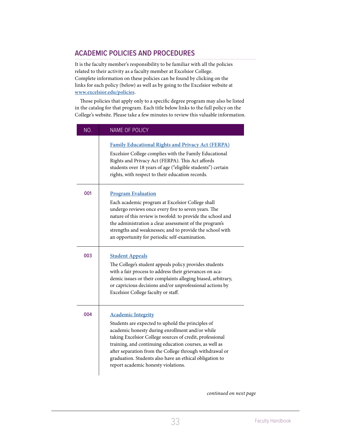# <span id="page-33-1"></span><span id="page-33-0"></span>**ACADEMIC POLICIES AND PROCEDURES**

It is the faculty member's responsibility to be familiar with all the policies related to their activity as a faculty member at Excelsior College. Complete information on these policies can be found by clicking on the links for each policy (below) as well as by going to the Excelsior website at **www.excelsior.edu/policies**.

Those policies that apply only to a specific degree program may also be listed in the catalog for that program. Each title below links to the full policy on the College's website. Please take a few minutes to review this valuable information.

| NO. | <b>NAME OF POLICY</b>                                                                                                                                                                                                                                                                                                                                                                                                |
|-----|----------------------------------------------------------------------------------------------------------------------------------------------------------------------------------------------------------------------------------------------------------------------------------------------------------------------------------------------------------------------------------------------------------------------|
|     | <b>Family Educational Rights and Privacy Act (FERPA)</b><br>Excelsior College complies with the Family Educational<br>Rights and Privacy Act (FERPA). This Act affords<br>students over 18 years of age ("eligible students") certain<br>rights, with respect to their education records.                                                                                                                            |
| 001 | <b>Program Evaluation</b><br>Each academic program at Excelsior College shall<br>undergo reviews once every five to seven years. The<br>nature of this review is twofold: to provide the school and<br>the administration a clear assessment of the program's<br>strengths and weaknesses; and to provide the school with<br>an opportunity for periodic self-examination.                                           |
| 003 | <b>Student Appeals</b><br>The College's student appeals policy provides students<br>with a fair process to address their grievances on aca-<br>demic issues or their complaints alleging biased, arbitrary,<br>or capricious decisions and/or unprofessional actions by<br>Excelsior College faculty or staff.                                                                                                       |
| 004 | <b>Academic Integrity</b><br>Students are expected to uphold the principles of<br>academic honesty during enrollment and/or while<br>taking Excelsior College sources of credit, professional<br>training, and continuing education courses, as well as<br>after separation from the College through withdrawal or<br>graduation. Students also have an ethical obligation to<br>report academic honesty violations. |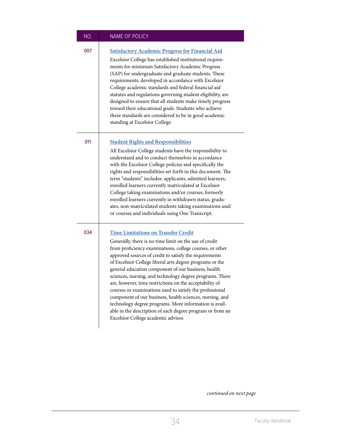| NO. | <b>NAME OF POLICY</b>                                                                                                                                                                                                                                                                                                                                                                                                                                                                                                                                                                                                                                                                                                                                      |
|-----|------------------------------------------------------------------------------------------------------------------------------------------------------------------------------------------------------------------------------------------------------------------------------------------------------------------------------------------------------------------------------------------------------------------------------------------------------------------------------------------------------------------------------------------------------------------------------------------------------------------------------------------------------------------------------------------------------------------------------------------------------------|
| 007 | <b>Satisfactory Academic Progress for Financial Aid</b><br>Excelsior College has established institutional require-<br>ments for minimum Satisfactory Academic Progress<br>(SAP) for undergraduate and graduate students. These<br>requirements, developed in accordance with Excelsior<br>College academic standards and federal financial aid<br>statutes and regulations governing student eligibility, are<br>designed to ensure that all students make timely progress<br>toward their educational goals. Students who achieve<br>these standards are considered to be in good academic<br>standing at Excelsior College.                                                                                                                             |
| 011 | <b>Student Rights and Responsibilities</b><br>All Excelsior College students have the responsibility to<br>understand and to conduct themselves in accordance<br>with the Excelsior College policies and specifically the<br>rights and responsibilities set forth in this document. The<br>term "students" includes: applicants, admitted learners,<br>enrolled learners currently matriculated at Excelsior<br>College taking examinations and/or courses, formerly<br>enrolled learners currently in withdrawn status, gradu-<br>ates, non-matriculated students taking examinations and/<br>or courses and individuals using One Transcript.                                                                                                           |
| 034 | <b>Time Limitations on Transfer Credit</b><br>Generally, there is no time limit on the use of credit<br>from proficiency examinations, college courses, or other<br>approved sources of credit to satisfy the requirements<br>of Excelsior College liberal arts degree programs or the<br>general education component of our business, health<br>sciences, nursing, and technology degree programs. There<br>are, however, time restrictions on the acceptability of<br>courses or examinations used to satisfy the professional<br>component of our business, health sciences, nursing, and<br>technology degree programs. More information is avail-<br>able in the description of each degree program or from an<br>Excelsior College academic advisor. |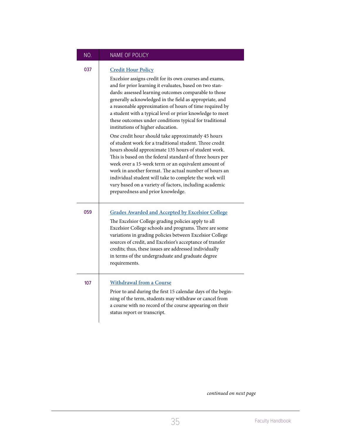# NO. NAME OF POLICY

# 037 **[Credit Hour Policy](https://www.excelsior.edu/policy/credit-hour-calculation)**

Excelsior assigns credit for its own courses and exams, and for prior learning it evaluates, based on two standards: assessed learning outcomes comparable to those generally acknowledged in the field as appropriate, and a reasonable approximation of hours of time required by a student with a typical level or prior knowledge to meet these outcomes under conditions typical for traditional institutions of higher education. One credit hour should take approximately 45 hours of student work for a traditional student. Three credit

hours should approximate 135 hours of student work. This is based on the federal standard of three hours per week over a 15-week term or an equivalent amount of work in another format. The actual number of hours an individual student will take to complete the work will vary based on a variety of factors, including academic preparedness and prior knowledge.

# 059 **[Grades Awarded and Accepted by Excelsior College](https://www.excelsior.edu/policy/grades-awarded-and-accepted-by-excelsior-college)** The Excelsior College grading policies apply to all Excelsior College schools and programs. There are some variations in grading policies between Excelsior College sources of credit, and Excelsior's acceptance of transfer credits; thus, these issues are addressed individually in terms of the undergraduate and graduate degree requirements. 107 **[Withdrawal from a Course](https://www.excelsior.edu/policy/courses-and-nursing-theory-conference-examinations-withdrawal-and-refund-policy)**

Prior to and during the first 15 calendar days of the beginning of the term, students may withdraw or cancel from a course with no record of the course appearing on their status report or transcript.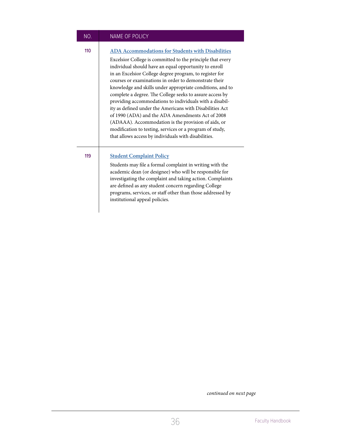| NO. | <b>NAME OF POLICY</b>                                                                                                                                                                                                                                                                                                                                                                                                                                                                                                                                                                                                                                                                                                                                                              |
|-----|------------------------------------------------------------------------------------------------------------------------------------------------------------------------------------------------------------------------------------------------------------------------------------------------------------------------------------------------------------------------------------------------------------------------------------------------------------------------------------------------------------------------------------------------------------------------------------------------------------------------------------------------------------------------------------------------------------------------------------------------------------------------------------|
| 110 | <b>ADA Accommodations for Students with Disabilities</b><br>Excelsior College is committed to the principle that every<br>individual should have an equal opportunity to enroll<br>in an Excelsior College degree program, to register for<br>courses or examinations in order to demonstrate their<br>knowledge and skills under appropriate conditions, and to<br>complete a degree. The College seeks to assure access by<br>providing accommodations to individuals with a disabil-<br>ity as defined under the Americans with Disabilities Act<br>of 1990 (ADA) and the ADA Amendments Act of 2008<br>(ADAAA). Accommodation is the provision of aids, or<br>modification to testing, services or a program of study,<br>that allows access by individuals with disabilities. |
| 119 | <b>Student Complaint Policy</b><br>Students may file a formal complaint in writing with the<br>academic dean (or designee) who will be responsible for<br>investigating the complaint and taking action. Complaints<br>are defined as any student concern regarding College<br>programs, services, or staff other than those addressed by<br>institutional appeal policies.                                                                                                                                                                                                                                                                                                                                                                                                        |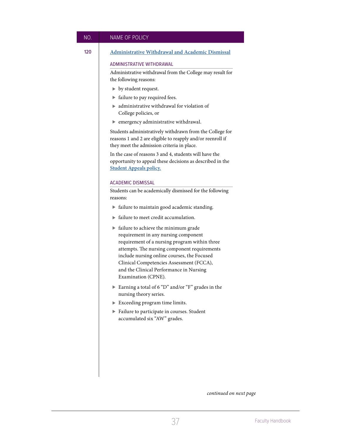NO. NAME OF POLICY

# 120 **[Administrative Withdrawal and Academic Dismissal](https://www.excelsior.edu/policy/administrative-withdrawal-and-academic-dismissal)**

# ADMINISTRATIVE WITHDRAWAL

Administrative withdrawal from the College may result for the following reasons:

- ▶ by student request.
- $\blacktriangleright$  failure to pay required fees.
- administrative withdrawal for violation of College policies, or
- $\blacktriangleright$  emergency administrative withdrawal.

Students administratively withdrawn from the College for reasons 1 and 2 are eligible to reapply and/or reenroll if they meet the admission criteria in place.

In the case of reasons 3 and 4, students will have the opportunity to appeal these decisions as described in the **[Student Appeals policy.](https://www.excelsior.edu/policy/student-appeals/)**

#### ACADEMIC DISMISSAL

Students can be academically dismissed for the following reasons:

- $\blacktriangleright$  failure to maintain good academic standing.
- $\blacktriangleright$  failure to meet credit accumulation.
- $\blacktriangleright$  failure to achieve the minimum grade requirement in any nursing component requirement of a nursing program within three attempts. The nursing component requirements include nursing online courses, the Focused Clinical Competencies Assessment (FCCA), and the Clinical Performance in Nursing Examination (CPNE).
- Earning a total of 6 "D" and/or "F" grades in the nursing theory series.
- $\blacktriangleright$  Exceeding program time limits.
- Failure to participate in courses. Student accumulated six "AW" grades.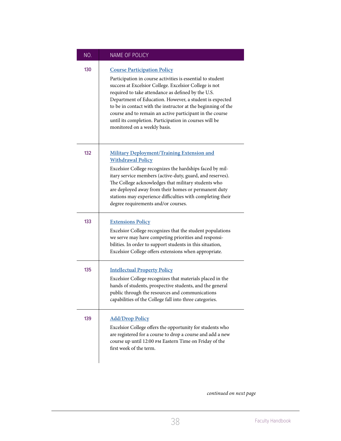| NO. | NAME OF POLICY                                                                                                                                                                                                                                                                                                                                                                                                                                                                                    |
|-----|---------------------------------------------------------------------------------------------------------------------------------------------------------------------------------------------------------------------------------------------------------------------------------------------------------------------------------------------------------------------------------------------------------------------------------------------------------------------------------------------------|
| 130 | <b>Course Participation Policy</b><br>Participation in course activities is essential to student<br>success at Excelsior College. Excelsior College is not<br>required to take attendance as defined by the U.S.<br>Department of Education. However, a student is expected<br>to be in contact with the instructor at the beginning of the<br>course and to remain an active participant in the course<br>until its completion. Participation in courses will be<br>monitored on a weekly basis. |
| 132 | <b>Military Deployment/Training Extension and</b><br><b>Withdrawal Policy</b><br>Excelsior College recognizes the hardships faced by mil-<br>itary service members (active-duty, guard, and reserves).<br>The College acknowledges that military students who<br>are deployed away from their homes or permanent duty<br>stations may experience difficulties with completing their<br>degree requirements and/or courses.                                                                        |
| 133 | <b>Extensions Policy</b><br>Excelsior College recognizes that the student populations<br>we serve may have competing priorities and responsi-<br>bilities. In order to support students in this situation,<br>Excelsior College offers extensions when appropriate.                                                                                                                                                                                                                               |
| 135 | <b>Intellectual Property Policy</b><br>Excelsior College recognizes that materials placed in the<br>hands of students, prospective students, and the general<br>public through the resources and communications<br>capabilities of the College fall into three categories.                                                                                                                                                                                                                        |
| 139 | <b>Add/Drop Policy</b><br>Excelsior College offers the opportunity for students who<br>are registered for a course to drop a course and add a new<br>course up until 12:00 PM Eastern Time on Friday of the<br>first week of the term.                                                                                                                                                                                                                                                            |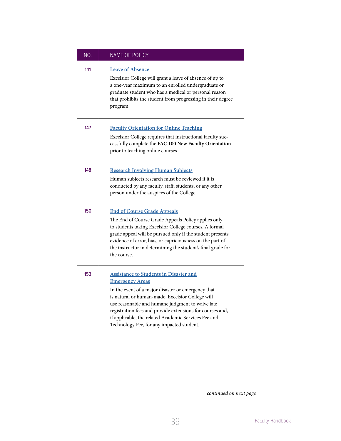| NO. | NAME OF POLICY                                                                                                                                                                                                                                                                                                                                                                                          |
|-----|---------------------------------------------------------------------------------------------------------------------------------------------------------------------------------------------------------------------------------------------------------------------------------------------------------------------------------------------------------------------------------------------------------|
| 141 | <b>Leave of Absence</b><br>Excelsior College will grant a leave of absence of up to<br>a one-year maximum to an enrolled undergraduate or<br>graduate student who has a medical or personal reason<br>that prohibits the student from progressing in their degree<br>program.                                                                                                                           |
| 147 | <b>Faculty Orientation for Online Teaching</b><br>Excelsior College requires that instructional faculty suc-<br>cessfully complete the FAC 100 New Faculty Orientation<br>prior to teaching online courses.                                                                                                                                                                                             |
| 148 | <b>Research Involving Human Subjects</b><br>Human subjects research must be reviewed if it is<br>conducted by any faculty, staff, students, or any other<br>person under the auspices of the College.                                                                                                                                                                                                   |
| 150 | <b>End of Course Grade Appeals</b><br>The End of Course Grade Appeals Policy applies only<br>to students taking Excelsior College courses. A formal<br>grade appeal will be pursued only if the student presents<br>evidence of error, bias, or capriciousness on the part of<br>the instructor in determining the student's final grade for<br>the course.                                             |
| 153 | <b>Assistance to Students in Disaster and</b><br><b>Emergency Areas</b><br>In the event of a major disaster or emergency that<br>is natural or human-made, Excelsior College will<br>use reasonable and humane judgment to waive late<br>registration fees and provide extensions for courses and,<br>if applicable, the related Academic Services Fee and<br>Technology Fee, for any impacted student. |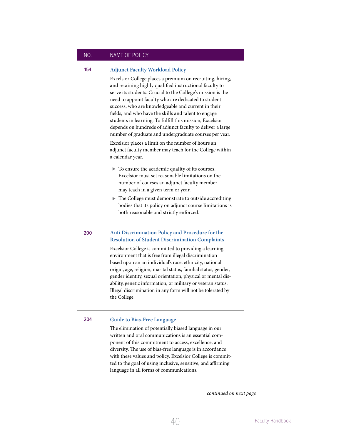# NO. NAME OF POLICY

 $\overline{1}$ 

| 154 | <b>Adjunct Faculty Workload Policy</b>                                                                                                                                                                                                                                                                                                                                                                                                                                                                                                                                                                                                                         |
|-----|----------------------------------------------------------------------------------------------------------------------------------------------------------------------------------------------------------------------------------------------------------------------------------------------------------------------------------------------------------------------------------------------------------------------------------------------------------------------------------------------------------------------------------------------------------------------------------------------------------------------------------------------------------------|
|     | Excelsior College places a premium on recruiting, hiring,<br>and retaining highly qualified instructional faculty to<br>serve its students. Crucial to the College's mission is the<br>need to appoint faculty who are dedicated to student<br>success, who are knowledgeable and current in their<br>fields, and who have the skills and talent to engage<br>students in learning. To fulfill this mission, Excelsior<br>depends on hundreds of adjunct faculty to deliver a large<br>number of graduate and undergraduate courses per year.<br>Excelsior places a limit on the number of hours an<br>adjunct faculty member may teach for the College within |
|     | a calendar year.                                                                                                                                                                                                                                                                                                                                                                                                                                                                                                                                                                                                                                               |
|     | $\blacktriangleright$ To ensure the academic quality of its courses,<br>Excelsior must set reasonable limitations on the<br>number of courses an adjunct faculty member<br>may teach in a given term or year.                                                                                                                                                                                                                                                                                                                                                                                                                                                  |
|     | The College must demonstrate to outside accrediting<br>bodies that its policy on adjunct course limitations is<br>both reasonable and strictly enforced.                                                                                                                                                                                                                                                                                                                                                                                                                                                                                                       |
| 200 | Anti Discrimination Policy and Procedure for the<br><b>Resolution of Student Discrimination Complaints</b><br>Excelsior College is committed to providing a learning<br>environment that is free from illegal discrimination<br>based upon an an individual's race, ethnicity, national<br>origin, age, religion, marital status, familial status, gender,<br>gender identity, sexual orientation, physical or mental dis-<br>ability, genetic information, or military or veteran status.<br>Illegal discrimination in any form will not be tolerated by<br>the College.                                                                                      |
| 204 | <b>Guide to Bias-Free Language</b><br>The elimination of potentially biased language in our<br>written and oral communications is an essential com-<br>ponent of this commitment to access, excellence, and<br>diversity. The use of bias-free language is in accordance<br>with these values and policy. Excelsior College is commit-<br>ted to the goal of using inclusive, sensitive, and affirming<br>language in all forms of communications.                                                                                                                                                                                                             |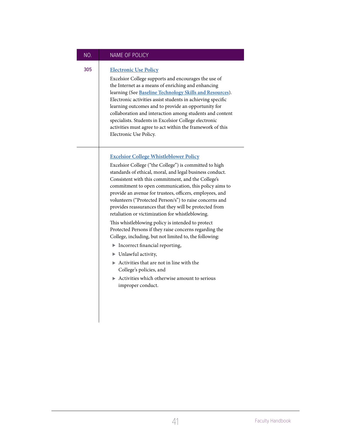# NO. NAME OF POLICY

# 305 **[Electronic Use Policy](https://www.excelsior.edu/policy/electronic-use)**

Excelsior College supports and encourages the use of the Internet as a means of enriching and enhancing learning (See **[Baseline Technology Skills and Resources](https://www.excelsior.edu/wp-content/uploads/2018/12/Baseline_Technology_Skills_and_Resource_Statement-.pdf)**). Electronic activities assist students in achieving specific learning outcomes and to provide an opportunity for collaboration and interaction among students and content specialists. Students in Excelsior College electronic activities must agree to act within the framework of this Electronic Use Policy.

# **[Excelsior College Whistleblower Policy](https://secure.ethicspoint.com/domain/media/en/gui/50746/whistle.pdf)**

Excelsior College ("the College") is committed to high standards of ethical, moral, and legal business conduct. Consistent with this commitment, and the College's commitment to open communication, this policy aims to provide an avenue for trustees, officers, employees, and volunteers ("Protected Person/s") to raise concerns and provides reassurances that they will be protected from retaliation or victimization for whistleblowing.

This whistleblowing policy is intended to protect Protected Persons if they raise concerns regarding the College, including, but not limited to, the following:

- $\blacktriangleright$  Incorrect financial reporting,
- Unlawful activity,
- $\blacktriangleright$  Activities that are not in line with the College's policies, and
- $\blacktriangleright$  Activities which otherwise amount to serious improper conduct.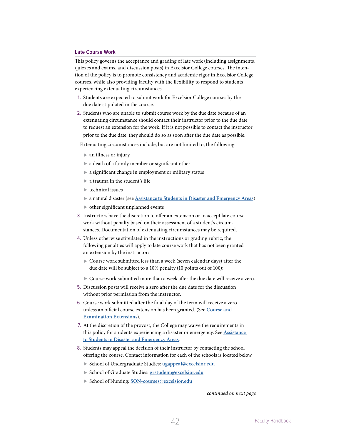# <span id="page-42-0"></span>**Late Course Work**

This policy governs the acceptance and grading of late work (including assignments, quizzes and exams, and discussion posts) in Excelsior College courses. The intention of the policy is to promote consistency and academic rigor in Excelsior College courses, while also providing faculty with the flexibility to respond to students experiencing extenuating circumstances.

- 1. Students are expected to submit work for Excelsior College courses by the due date stipulated in the course.
- 2. Students who are unable to submit course work by the due date because of an extenuating circumstance should contact their instructor prior to the due date to request an extension for the work. If it is not possible to contact the instructor

prior to the due date, they should do so as soon after the due date as possible.

Extenuating circumstances include, but are not limited to, the following:

- $\blacktriangleright$  an illness or injury
- a death of a family member or significant other
- a significant change in employment or military status
- a trauma in the student's life
- $\blacktriangleright$  technical issues
- a natural disaster (see **[Assistance to Students in Disaster and Emergency Areas](https://www.excelsior.edu/policy/assistance-to-students-in-disaster-and-emergency-areas/)**)
- $\triangleright$  other significant unplanned events
- 3. Instructors have the discretion to offer an extension or to accept late course work without penalty based on their assessment of a student's circumstances. Documentation of extenuating circumstances may be required.
- 4. Unless otherwise stipulated in the instructions or grading rubric, the following penalties will apply to late course work that has not been granted an extension by the instructor:
	- Course work submitted less than a week (seven calendar days) after the due date will be subject to a 10% penalty (10 points out of 100);
	- Course work submitted more than a week after the due date will receive a zero.
- 5. Discussion posts will receive a zero after the due date for the discussion without prior permission from the instructor.
- 6. Course work submitted after the final day of the term will receive a zero unless an official course extension has been granted. (See **[Course and](https://www.excelsior.edu/policy/courses-and-examinations-extension-policy)  [Examination Extensions](https://www.excelsior.edu/policy/courses-and-examinations-extension-policy)**).
- 7. At the discretion of the provost, the College may waive the requirements in this policy for students experiencing a disaster or emergency. See **[Assistance](https://www.excelsior.edu/policy/assistance-to-students-in-disaster-and-emergency-areas/)  [to Students in Disaster and Emergency Areas](https://www.excelsior.edu/policy/assistance-to-students-in-disaster-and-emergency-areas/)**.
- 8. Students may appeal the decision of their instructor by contacting the school offering the course. Contact information for each of the schools is located below.
	- School of Undergraduate Studies: **[ugappeal@excelsior.edu](mailto:ugappeal@excelsior.edu)**
	- School of Graduate Studies: **[grstudent@excelsior.edu](mailto:grstudent@excelsior.edu)**
	- School of Nursing: **[SON-courses@excelsior.edu](mailto:SON-courses@excelsior.edu)**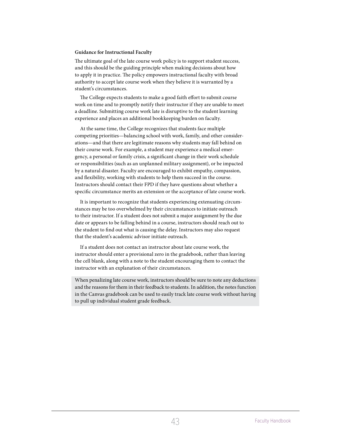#### **Guidance for Instructional Faculty**

The ultimate goal of the late course work policy is to support student success, and this should be the guiding principle when making decisions about how to apply it in practice. The policy empowers instructional faculty with broad authority to accept late course work when they believe it is warranted by a student's circumstances.

The College expects students to make a good faith effort to submit course work on time and to promptly notify their instructor if they are unable to meet a deadline. Submitting course work late is disruptive to the student learning experience and places an additional bookkeeping burden on faculty.

At the same time, the College recognizes that students face multiple competing priorities—balancing school with work, family, and other considerations—and that there are legitimate reasons why students may fall behind on their course work. For example, a student may experience a medical emergency, a personal or family crisis, a significant change in their work schedule or responsibilities (such as an unplanned military assignment), or be impacted by a natural disaster. Faculty are encouraged to exhibit empathy, compassion, and flexibility, working with students to help them succeed in the course. Instructors should contact their FPD if they have questions about whether a specific circumstance merits an extension or the acceptance of late course work.

It is important to recognize that students experiencing extenuating circumstances may be too overwhelmed by their circumstances to initiate outreach to their instructor. If a student does not submit a major assignment by the due date or appears to be falling behind in a course, instructors should reach out to the student to find out what is causing the delay. Instructors may also request that the student's academic advisor initiate outreach.

If a student does not contact an instructor about late course work, the instructor should enter a provisional zero in the gradebook, rather than leaving the cell blank, along with a note to the student encouraging them to contact the instructor with an explanation of their circumstances.

When penalizing late course work, instructors should be sure to note any deductions and the reasons for them in their feedback to students. In addition, the notes function in the Canvas gradebook can be used to easily track late course work without having to pull up individual student grade feedback.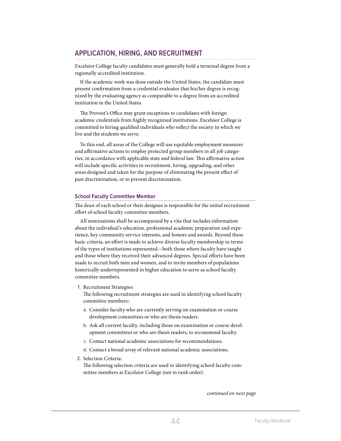# <span id="page-44-0"></span>**APPLICATION, HIRING, AND RECRUITMENT**

Excelsior College faculty candidates must generally hold a terminal degree from a regionally accredited institution.

If the academic work was done outside the United States, the candidate must present confirmation from a credential evaluator that his/her degree is recognized by the evaluating agency as comparable to a degree from an accredited institution in the United States.

The Provost's Office may grant exceptions to candidates with foreign academic credentials from highly recognized institutions. Excelsior College is committed to hiring qualified individuals who reflect the society in which we live and the students we serve.

To this end, all areas of the College will use equitable employment measures and affirmative actions to employ protected group members in all job categories, in accordance with applicable state and federal law. This affirmative action will include specific activities in recruitment, hiring, upgrading, and other areas designed and taken for the purpose of eliminating the present effect of past discrimination, or to prevent discrimination.

# **School Faculty Committee Member**

The dean of each school or their designee is responsible for the initial recruitment effort of school faculty committee members.

All nominations shall be accompanied by a vita that includes information about the individual's education, professional academic preparation and experience, key community service interests, and honors and awards. Beyond these basic criteria, an effort is made to achieve diverse faculty membership in terms of the types of institutions represented—both those where faculty have taught and those where they received their advanced degrees. Special efforts have been made to recruit both men and women, and to invite members of populations historically underrepresented in higher education to serve as school faculty committee members.

1. Recruitment Strategies:

The following recruitment strategies are used in identifying school faculty committee members::

- a. Consider faculty who are currently serving on examination or course development committees or who are thesis readers.
- b. Ask all current faculty, including those on examination or course development committees or who are thesis readers, to recommend faculty.
- c. Contact national academic associations for recommendations.
- d. Contact a broad array of relevant national academic associations.
- 2. Selection Criteria:

The following selection criteria are used in identifying school faculty committee members at Excelsior College (not in rank order):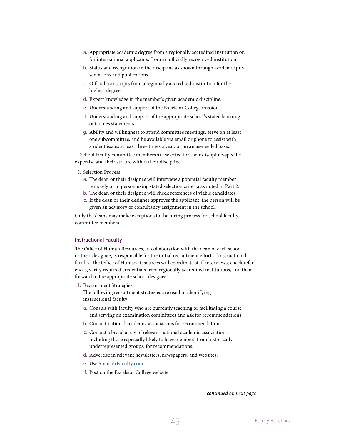- <span id="page-45-0"></span>a. Appropriate academic degree from a regionally accredited institution or, for international applicants, from an officially recognized institution.
- b. Status and recognition in the discipline as shown through academic presentations and publications.
- c. Official transcripts from a regionally accredited institution for the highest degree.
- d. Expert knowledge in the member's given academic discipline.
- e. Understanding and support of the Excelsior College mission.
- f. Understanding and support of the appropriate school's stated learning outcomes statements.
- g. Ability and willingness to attend committee meetings, serve on at least one subcommittee, and be available via email or phone to assist with student issues at least three times a year, or on an as-needed basis.

School faculty committee members are selected for their discipline-specific expertise and their stature within their discipline.

- 3. Selection Process:
	- a. The dean or their designee will interview a potential faculty member remotely or in person using stated selection criteria as noted in Part 2.
	- b. The dean or their designee will check references of viable candidates.
	- c. If the dean or their designee approves the applicant, the person will be given an advisory or consultancy assignment in the school.

Only the deans may make exceptions to the hiring process for school faculty committee members.

#### **Instructional Faculty**

The Office of Human Resources, in collaboration with the dean of each school or their designee, is responsible for the initial recruitment effort of instructional faculty. The Office of Human Resources will coordinate staff interviews, check references, verify required credentials from regionally accredited institutions, and then forward to the appropriate school designee.

1. Recruitment Strategies:

The following recruitment strategies are used in identifying instructional faculty:

- a. Consult with faculty who are currently teaching or facilitating a course and serving on examination committees and ask for recommendations.
- b. Contact national academic associations for recommendations.
- c. Contact a broad array of relevant national academic associations, including those especially likely to have members from historically underrepresented groups, for recommendations.
- d. Advertise in relevant newsletters, newspapers, and websites.
- e. Use **<SmarterFaculty.com>**.
- f. Post on the Excelsior College website.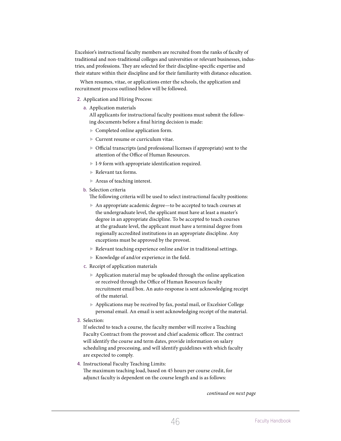Excelsior's instructional faculty members are recruited from the ranks of faculty of traditional and non-traditional colleges and universities or relevant businesses, industries, and professions. They are selected for their discipline-specific expertise and their stature within their discipline and for their familiarity with distance education.

When resumes, vitae, or applications enter the schools, the application and recruitment process outlined below will be followed.

#### 2. Application and Hiring Process:

a. Application materials

All applicants for instructional faculty positions must submit the following documents before a final hiring decision is made:

- ▶ Completed online application form.
- ▶ Current resume or curriculum vitae.
- Official transcripts (and professional licenses if appropriate) sent to the attention of the Office of Human Resources.
- I-9 form with appropriate identification required.
- Relevant tax forms.
- ▶ Areas of teaching interest.
- b. Selection criteria

The following criteria will be used to select instructional faculty positions:

- An appropriate academic degree—to be accepted to teach courses at the undergraduate level, the applicant must have at least a master's degree in an appropriate discipline. To be accepted to teach courses at the graduate level, the applicant must have a terminal degree from regionally accredited institutions in an appropriate discipline. Any exceptions must be approved by the provost.
- $\blacktriangleright$  Relevant teaching experience online and/or in traditional settings.
- Knowledge of and/or experience in the field.
- c. Receipt of application materials
	- Application material may be uploaded through the online application or received through the Office of Human Resources faculty recruitment email box. An auto-response is sent acknowledging receipt of the material.
	- Applications may be received by fax, postal mail, or Excelsior College personal email. An email is sent acknowledging receipt of the material.
- 3. Selection:

If selected to teach a course, the faculty member will receive a Teaching Faculty Contract from the provost and chief academic officer. The contract will identify the course and term dates, provide information on salary scheduling and processing, and will identify guidelines with which faculty are expected to comply.

4. Instructional Faculty Teaching Limits:

The maximum teaching load, based on 45 hours per course credit, for adjunct faculty is dependent on the course length and is as follows: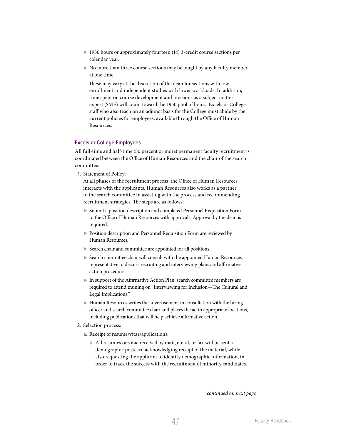- <span id="page-47-0"></span>▶ 1950 hours or approximately fourteen (14) 3-credit course sections per calendar year.
- No more than three course sections may be taught by any faculty member at one time.

 These may vary at the discretion of the dean for sections with low enrollment and independent studies with lower workloads. In addition, time spent on course development and revisions as a subject matter expert (SME) will count toward the 1950 pool of hours. Excelsior College staff who also teach on an adjunct basis for the College must abide by the current policies for employees, available through the Office of Human Resources.

# **Excelsior College Employees**

All full-time and half-time (50 percent or more) permanent faculty recruitment is coordinated between the Office of Human Resources and the chair of the search committee.

1. Statement of Policy:

At all phases of the recruitment process, the Office of Human Resources interacts with the applicants. Human Resources also works as a partner to the search committee in assisting with the process and recommending recruitment strategies. The steps are as follows:

- Submit a position description and completed Personnel Requisition Form to the Office of Human Resources with approvals. Approval by the dean is required.
- **Position description and Personnel Requisition Form are reviewed by** Human Resources.
- Search chair and committee are appointed for all positions.
- Search committee chair will consult with the appointed Human Resources representative to discuss recruiting and interviewing plans and affirmative action procedures.
- In support of the Affirmative Action Plan, search committee members are required to attend training on "Interviewing for Inclusion—The Cultural and Legal Implications."
- Human Resources writes the advertisement in consultation with the hiring officer and search committee chair and places the ad in appropriate locations, including publications that will help achieve affirmative action.
- 2. Selection process:
	- a. Receipt of resume/vitae/applications:
		- All resumes or vitae received by mail, email, or fax will be sent a demographic postcard acknowledging receipt of the material, while also requesting the applicant to identify demographic information, in order to track the success with the recruitment of minority candidates.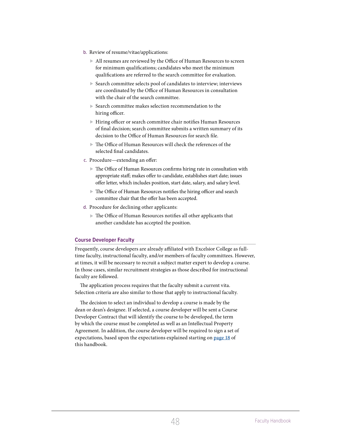- <span id="page-48-0"></span>b. Review of resume/vitae/applications:
	- All resumes are reviewed by the Office of Human Resources to screen for minimum qualifications; candidates who meet the minimum qualifications are referred to the search committee for evaluation.
	- Search committee selects pool of candidates to interview; interviews are coordinated by the Office of Human Resources in consultation with the chair of the search committee.
	- Search committee makes selection recommendation to the hiring officer.
	- Hiring officer or search committee chair notifies Human Resources of final decision; search committee submits a written summary of its decision to the Office of Human Resources for search file.
	- The Office of Human Resources will check the references of the selected final candidates.
- c. Procedure—extending an offer:
	- The Office of Human Resources confirms hiring rate in consultation with appropriate staff; makes offer to candidate, establishes start date; issues offer letter, which includes position, start date, salary, and salary level.
	- The Office of Human Resources notifies the hiring officer and search committee chair that the offer has been accepted.
- d. Procedure for declining other applicants:
	- The Office of Human Resources notifies all other applicants that another candidate has accepted the position.

#### **Course Developer Faculty**

Frequently, course developers are already affiliated with Excelsior College as fulltime faculty, instructional faculty, and/or members of faculty committees. However, at times, it will be necessary to recruit a subject matter expert to develop a course. In those cases, similar recruitment strategies as those described for instructional faculty are followed.

The application process requires that the faculty submit a current vita. Selection criteria are also similar to those that apply to instructional faculty.

The decision to select an individual to develop a course is made by the dean or dean's designee. If selected, a course developer will be sent a Course Developer Contract that will identify the course to be developed, the term by which the course must be completed as well as an Intellectual Property Agreement. In addition, the course developer will be required to sign a set of expectations, based upon the expectations explained starting on **page 18** of this handbook.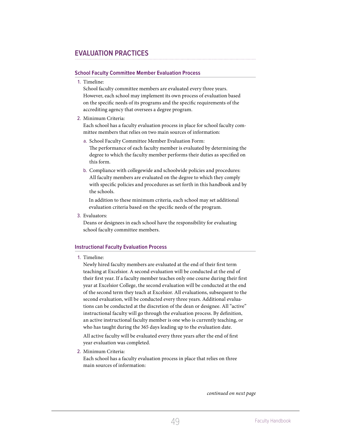# <span id="page-49-0"></span>**EVALUATION PRACTICES**

# **School Faculty Committee Member Evaluation Process**

1. Timeline:

 School faculty committee members are evaluated every three years. However, each school may implement its own process of evaluation based on the specific needs of its programs and the specific requirements of the accrediting agency that oversees a degree program.

2. Minimum Criteria:

 Each school has a faculty evaluation process in place for school faculty committee members that relies on two main sources of information:

- a. School Faculty Committee Member Evaluation Form: The performance of each faculty member is evaluated by determining the degree to which the faculty member performs their duties as specified on this form.
- b. Compliance with collegewide and schoolwide policies and procedures: All faculty members are evaluated on the degree to which they comply with specific policies and procedures as set forth in this handbook and by the schools.

 In addition to these minimum criteria, each school may set additional evaluation criteria based on the specific needs of the program.

3. Evaluators:

 Deans or designees in each school have the responsibility for evaluating school faculty committee members.

# <span id="page-49-1"></span>**Instructional Faculty Evaluation Process**

#### 1. Timeline:

 Newly hired faculty members are evaluated at the end of their first term teaching at Excelsior. A second evaluation will be conducted at the end of their first year. If a faculty member teaches only one course during their first year at Excelsior College, the second evaluation will be conducted at the end of the second term they teach at Excelsior. All evaluations, subsequent to the second evaluation, will be conducted every three years. Additional evaluations can be conducted at the discretion of the dean or designee. All "active" instructional faculty will go through the evaluation process. By definition, an active instructional faculty member is one who is currently teaching, or who has taught during the 365 days leading up to the evaluation date.

 All active faculty will be evaluated every three years after the end of first year evaluation was completed.

2. Minimum Criteria:

 Each school has a faculty evaluation process in place that relies on three main sources of information: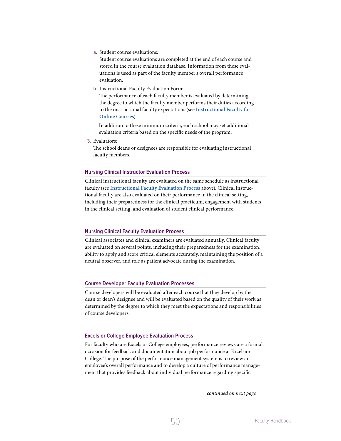<span id="page-50-0"></span>a. Student course evaluations:

 Student course evaluations are completed at the end of each course and stored in the course evaluation database. Information from these evaluations is used as part of the faculty member's overall performance evaluation.

b. Instructional Faculty Evaluation Form:

 The performance of each faculty member is evaluated by determining the degree to which the faculty member performs their duties according to the instructional faculty expectations (see **[Instructional Faculty for](#page-9-1)  [Online Courses](#page-9-1)**).

 In addition to these minimum criteria, each school may set additional evaluation criteria based on the specific needs of the program.

3. Evaluators:

 The school deans or designees are responsible for evaluating instructional faculty members.

# **Nursing Clinical Instructor Evaluation Process**

Clinical instructional faculty are evaluated on the same schedule as instructional faculty (see **[Instructional Faculty Evaluation Process](#page-49-1)** above). Clinical instructional faculty are also evaluated on their performance in the clinical setting, including their preparedness for the clinical practicum, engagement with students in the clinical setting, and evaluation of student clinical performance.

# **Nursing Clinical Faculty Evaluation Process**

Clinical associates and clinical examiners are evaluated annually. Clinical faculty are evaluated on several points, including their preparedness for the examination, ability to apply and score critical elements accurately, maintaining the position of a neutral observer, and role as patient advocate during the examination.

# **Course Developer Faculty Evaluation Processes**

Course developers will be evaluated after each course that they develop by the dean or dean's designee and will be evaluated based on the quality of their work as determined by the degree to which they meet the expectations and responsibilities of course developers.

# **Excelsior College Employee Evaluation Process**

For faculty who are Excelsior College employees, performance reviews are a formal occasion for feedback and documentation about job performance at Excelsior College. The purpose of the performance management system is to review an employee's overall performance and to develop a culture of performance management that provides feedback about individual performance regarding specific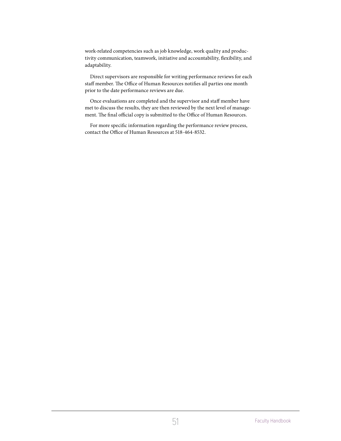work-related competencies such as job knowledge, work quality and productivity communication, teamwork, initiative and accountability, flexibility, and adaptability.

Direct supervisors are responsible for writing performance reviews for each staff member. The Office of Human Resources notifies all parties one month prior to the date performance reviews are due.

Once evaluations are completed and the supervisor and staff member have met to discuss the results, they are then reviewed by the next level of management. The final official copy is submitted to the Office of Human Resources.

For more specific information regarding the performance review process, contact the Office of Human Resources at 518-464-8532.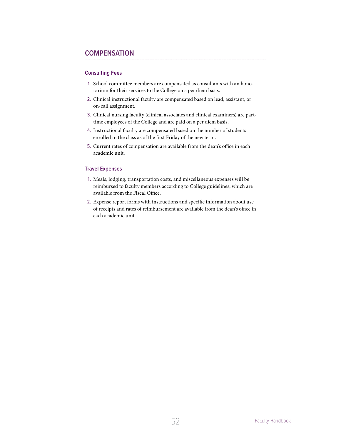# <span id="page-52-0"></span>**COMPENSATION**

# **Consulting Fees**

- 1. School committee members are compensated as consultants with an honorarium for their services to the College on a per diem basis.
- 2. Clinical instructional faculty are compensated based on lead, assistant, or on-call assignment.
- 3. Clinical nursing faculty (clinical associates and clinical examiners) are parttime employees of the College and are paid on a per diem basis.
- 4. Instructional faculty are compensated based on the number of students enrolled in the class as of the first Friday of the new term.
- 5. Current rates of compensation are available from the dean's office in each academic unit.

# **Travel Expenses**

- 1. Meals, lodging, transportation costs, and miscellaneous expenses will be reimbursed to faculty members according to College guidelines, which are available from the Fiscal Office.
- 2. Expense report forms with instructions and specific information about use of receipts and rates of reimbursement are available from the dean's office in each academic unit.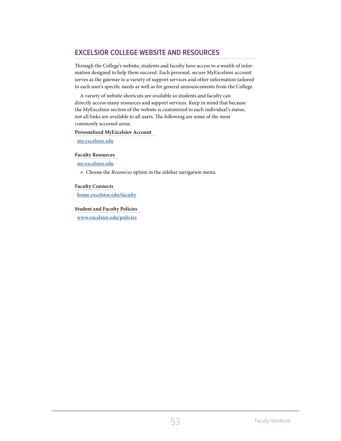# <span id="page-53-0"></span>**EXCELSIOR COLLEGE WEBSITE AND RESOURCES**

Through the College's website, students and faculty have access to a wealth of information designed to help them succeed. Each personal, secure MyExcelsior account serves as the gateway to a variety of support services and other information tailored to each user's specific needs as well as for general announcements from the College.

A variety of website shortcuts are available so students and faculty can directly access many resources and support services. Keep in mind that because the MyExcelsior section of the website is customized to each individual's status, not all links are available to all users. The following are some of the most commonly accessed areas.

**Personalized MyExcelsior Account**

**<my.excelsior.edu>**

**Faculty Resources**

**<my.excelsior.edu>**

Choose the *Resources* option in the sidebar navigation menu.

# **Faculty Connects**

**<home.excelsior.edu/faculty>**

**Student and Faculty Policies**

**<www.excelsior.edu/policies>**